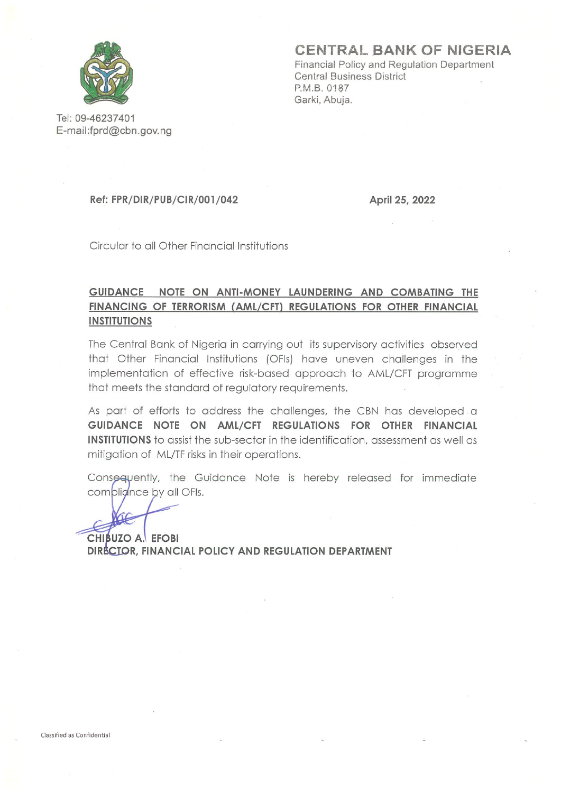

CENTRAL BANK OF NIGERIA

Financial Policy and Regulation Department **Central Business District** P.M.B. 0187 Garki, Abuja.

Tel: 09-46237401 E-mail:fprd@cbn.gov.ng

#### **Ref: FPR/DIR/PUB/CIR/001/042**

April 25, 2022

Circular to all Other Financial Institutions

#### GUIDANCE NOTE ON ANTI-MONEY LAUNDERING AND COMBATING THE FINANCING OF TERRORISM (AML/CFT) REGULATIONS FOR OTHER FINANCIAL **INSTITUTIONS**

The Central Bank of Nigeria in carrying out its supervisory activities observed that Other Financial Institutions (OFIs) have uneven challenges in the implementation of effective risk-based approach to AML/CFT programme that meets the standard of regulatory requirements.

As part of efforts to address the challenges, the CBN has developed a GUIDANCE NOTE ON AML/CFT REGULATIONS FOR OTHER FINANCIAL **INSTITUTIONS** to assist the sub-sector in the identification, assessment as well as mitigation of ML/TF risks in their operations.

Consequently, the Guidance Note is hereby released for immediate complignce by all OFIs.

CHIBUZO A. EFOBI DIRECTOR, FINANCIAL POLICY AND REGULATION DEPARTMENT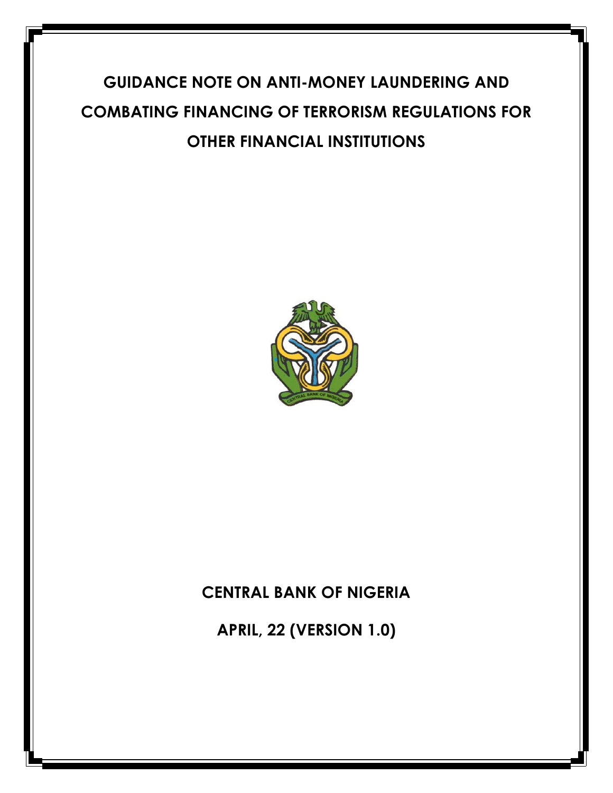# **GUIDANCE NOTE ON ANTI-MONEY LAUNDERING AND COMBATING FINANCING OF TERRORISM REGULATIONS FOR OTHER FINANCIAL INSTITUTIONS**



# **CENTRAL BANK OF NIGERIA**

**APRIL, 22 (VERSION 1.0)**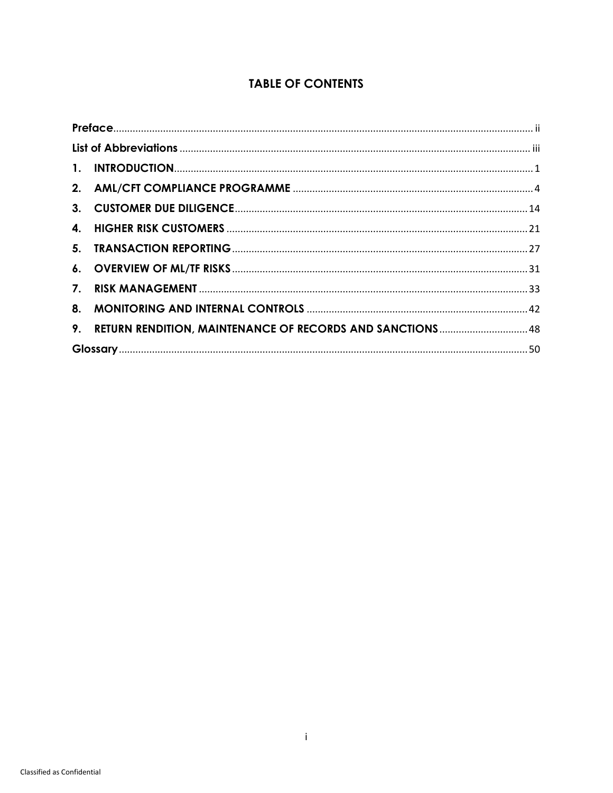#### **TABLE OF CONTENTS**

<span id="page-2-0"></span>

| 9. RETURN RENDITION, MAINTENANCE OF RECORDS AND SANCTIONS 48 |  |
|--------------------------------------------------------------|--|
|                                                              |  |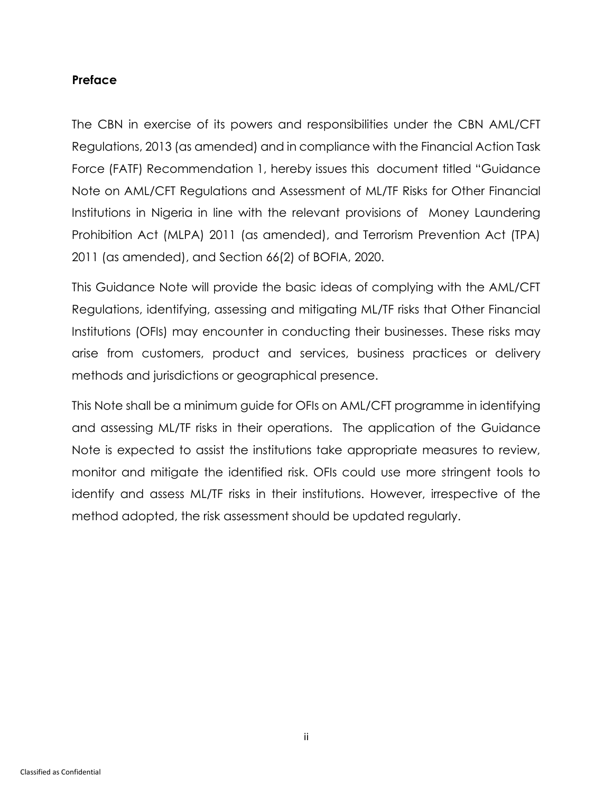#### **Preface**

The CBN in exercise of its powers and responsibilities under the CBN AML/CFT Regulations, 2013 (as amended) and in compliance with the Financial Action Task Force (FATF) Recommendation 1, hereby issues this document titled "Guidance Note on AML/CFT Regulations and Assessment of ML/TF Risks for Other Financial Institutions in Nigeria in line with the relevant provisions of Money Laundering Prohibition Act (MLPA) 2011 (as amended), and Terrorism Prevention Act (TPA) 2011 (as amended), and Section 66(2) of BOFIA, 2020.

This Guidance Note will provide the basic ideas of complying with the AML/CFT Regulations, identifying, assessing and mitigating ML/TF risks that Other Financial Institutions (OFIs) may encounter in conducting their businesses. These risks may arise from customers, product and services, business practices or delivery methods and jurisdictions or geographical presence.

This Note shall be a minimum guide for OFIs on AML/CFT programme in identifying and assessing ML/TF risks in their operations. The application of the Guidance Note is expected to assist the institutions take appropriate measures to review, monitor and mitigate the identified risk. OFIs could use more stringent tools to identify and assess ML/TF risks in their institutions. However, irrespective of the method adopted, the risk assessment should be updated regularly.

ii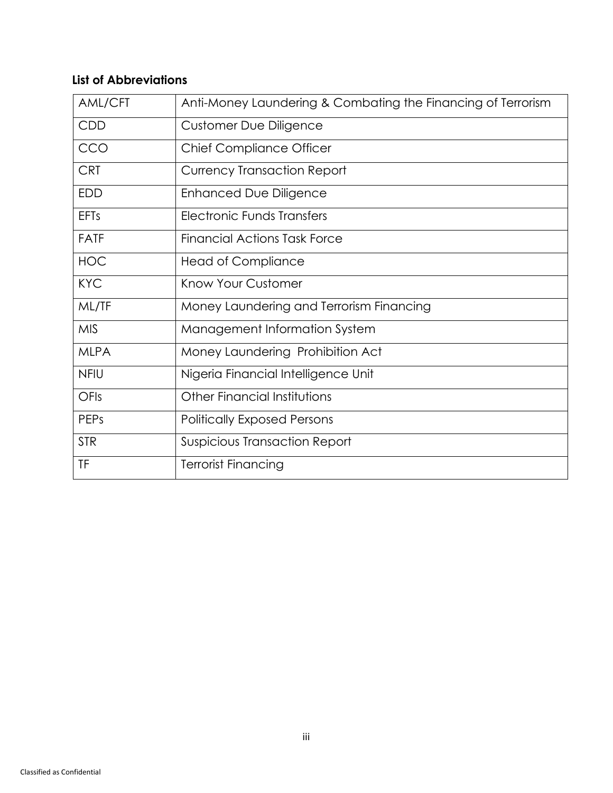# <span id="page-4-0"></span>**List of Abbreviations**

<span id="page-4-1"></span>

| AML/CFT     | Anti-Money Laundering & Combating the Financing of Terrorism |
|-------------|--------------------------------------------------------------|
| <b>CDD</b>  | <b>Customer Due Diligence</b>                                |
| CCO         | <b>Chief Compliance Officer</b>                              |
| <b>CRT</b>  | <b>Currency Transaction Report</b>                           |
| <b>EDD</b>  | <b>Enhanced Due Diligence</b>                                |
| <b>EFTs</b> | Electronic Funds Transfers                                   |
| <b>FATF</b> | <b>Financial Actions Task Force</b>                          |
| <b>HOC</b>  | <b>Head of Compliance</b>                                    |
| <b>KYC</b>  | Know Your Customer                                           |
| ML/TF       | Money Laundering and Terrorism Financing                     |
| <b>MIS</b>  | Management Information System                                |
| <b>MLPA</b> | Money Laundering Prohibition Act                             |
| <b>NFIU</b> | Nigeria Financial Intelligence Unit                          |
| OFIs        | Other Financial Institutions                                 |
| <b>PEPs</b> | <b>Politically Exposed Persons</b>                           |
| <b>STR</b>  | Suspicious Transaction Report                                |
| TF          | <b>Terrorist Financing</b>                                   |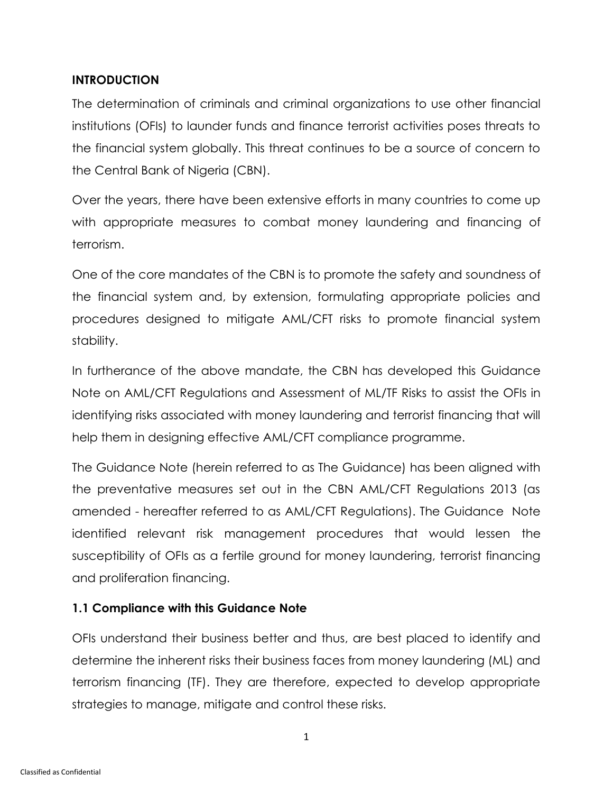#### **INTRODUCTION**

The determination of criminals and criminal organizations to use other financial institutions (OFIs) to launder funds and finance terrorist activities poses threats to the financial system globally. This threat continues to be a source of concern to the Central Bank of Nigeria (CBN).

Over the years, there have been extensive efforts in many countries to come up with appropriate measures to combat money laundering and financing of terrorism.

One of the core mandates of the CBN is to promote the safety and soundness of the financial system and, by extension, formulating appropriate policies and procedures designed to mitigate AML/CFT risks to promote financial system stability.

In furtherance of the above mandate, the CBN has developed this Guidance Note on AML/CFT Regulations and Assessment of ML/TF Risks to assist the OFIs in identifying risks associated with money laundering and terrorist financing that will help them in designing effective AML/CFT compliance programme.

The Guidance Note (herein referred to as The Guidance) has been aligned with the preventative measures set out in the CBN AML/CFT Regulations 2013 (as amended - hereafter referred to as AML/CFT Regulations). The Guidance Note identified relevant risk management procedures that would lessen the susceptibility of OFIs as a fertile ground for money laundering, terrorist financing and proliferation financing.

### **1.1 Compliance with this Guidance Note**

OFIs understand their business better and thus, are best placed to identify and determine the inherent risks their business faces from money laundering (ML) and terrorism financing (TF). They are therefore, expected to develop appropriate strategies to manage, mitigate and control these risks.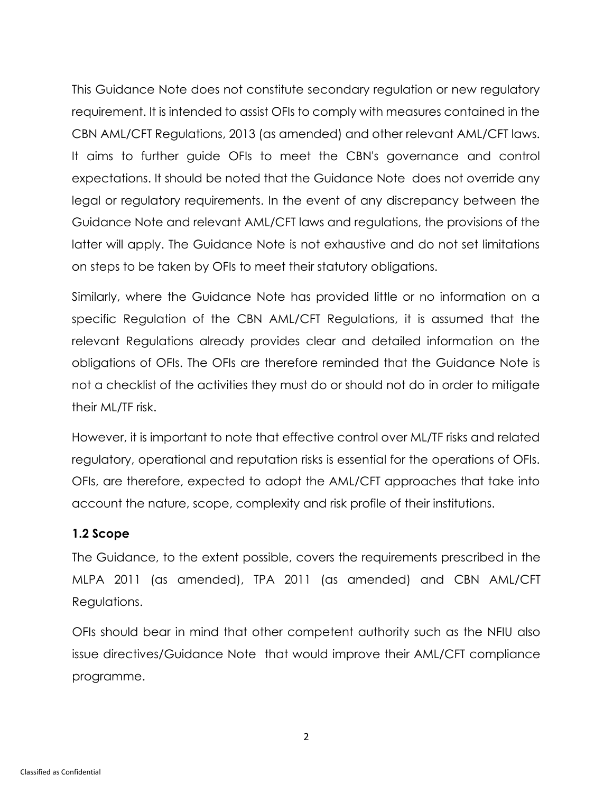This Guidance Note does not constitute secondary regulation or new regulatory requirement. It is intended to assist OFIs to comply with measures contained in the CBN AML/CFT Regulations, 2013 (as amended) and other relevant AML/CFT laws. It aims to further guide OFIs to meet the CBN's governance and control expectations. It should be noted that the Guidance Note does not override any legal or regulatory requirements. In the event of any discrepancy between the Guidance Note and relevant AML/CFT laws and regulations, the provisions of the latter will apply. The Guidance Note is not exhaustive and do not set limitations on steps to be taken by OFIs to meet their statutory obligations.

Similarly, where the Guidance Note has provided little or no information on a specific Regulation of the CBN AML/CFT Regulations, it is assumed that the relevant Regulations already provides clear and detailed information on the obligations of OFIs. The OFIs are therefore reminded that the Guidance Note is not a checklist of the activities they must do or should not do in order to mitigate their ML/TF risk.

However, it is important to note that effective control over ML/TF risks and related regulatory, operational and reputation risks is essential for the operations of OFIs. OFIs, are therefore, expected to adopt the AML/CFT approaches that take into account the nature, scope, complexity and risk profile of their institutions.

#### **1.2 Scope**

The Guidance, to the extent possible, covers the requirements prescribed in the MLPA 2011 (as amended), TPA 2011 (as amended) and CBN AML/CFT Regulations.

OFIs should bear in mind that other competent authority such as the NFIU also issue directives/Guidance Note that would improve their AML/CFT compliance programme.

2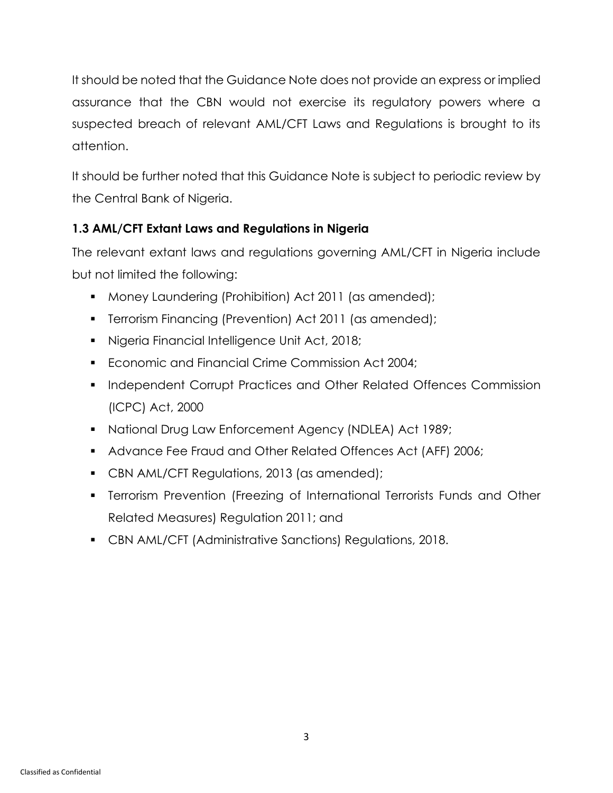It should be noted that the Guidance Note does not provide an express or implied assurance that the CBN would not exercise its regulatory powers where a suspected breach of relevant AML/CFT Laws and Regulations is brought to its attention.

It should be further noted that this Guidance Note is subject to periodic review by the Central Bank of Nigeria.

# **1.3 AML/CFT Extant Laws and Regulations in Nigeria**

The relevant extant laws and regulations governing AML/CFT in Nigeria include but not limited the following:

- Money Laundering (Prohibition) Act 2011 (as amended);
- **•** Terrorism Financing (Prevention) Act 2011 (as amended);
- Nigeria Financial Intelligence Unit Act, 2018;
- Economic and Financial Crime Commission Act 2004;
- **Independent Corrupt Practices and Other Related Offences Commission** (ICPC) Act, 2000
- National Drug Law Enforcement Agency (NDLEA) Act 1989;
- **Advance Fee Fraud and Other Related Offences Act (AFF) 2006;**
- **CBN AML/CFT Regulations, 2013 (as amended);**
- **•** Terrorism Prevention (Freezing of International Terrorists Funds and Other Related Measures) Regulation 2011; and
- CBN AML/CFT (Administrative Sanctions) Regulations, 2018.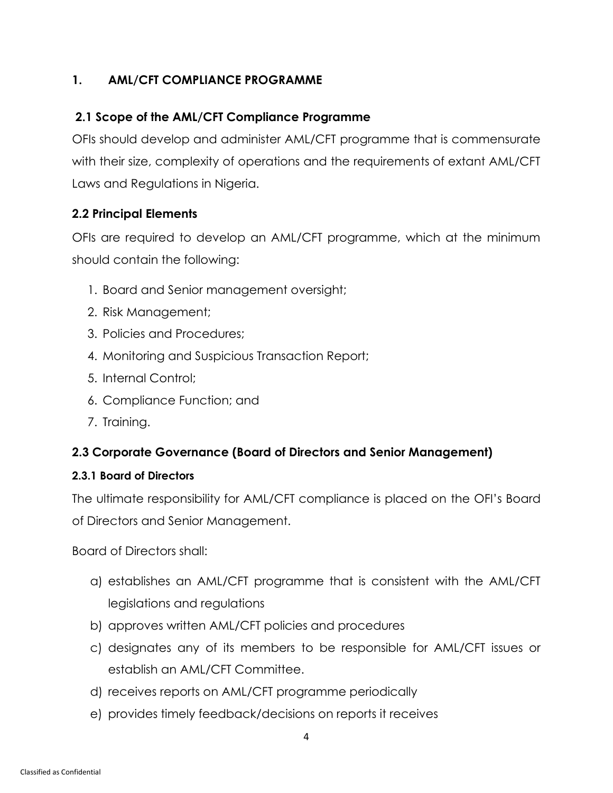# <span id="page-8-0"></span>**1. AML/CFT COMPLIANCE PROGRAMME**

# **2.1 Scope of the AML/CFT Compliance Programme**

OFIs should develop and administer AML/CFT programme that is commensurate with their size, complexity of operations and the requirements of extant AML/CFT Laws and Regulations in Nigeria.

### **2.2 Principal Elements**

OFIs are required to develop an AML/CFT programme, which at the minimum should contain the following:

- 1. Board and Senior management oversight;
- 2. Risk Management;
- 3. Policies and Procedures;
- 4. Monitoring and Suspicious Transaction Report;
- 5. Internal Control;
- 6. Compliance Function; and
- 7. Training.

### **2.3 Corporate Governance (Board of Directors and Senior Management)**

#### **2.3.1 Board of Directors**

The ultimate responsibility for AML/CFT compliance is placed on the OFI's Board of Directors and Senior Management.

Board of Directors shall:

- a) establishes an AML/CFT programme that is consistent with the AML/CFT legislations and regulations
- b) approves written AML/CFT policies and procedures
- c) designates any of its members to be responsible for AML/CFT issues or establish an AML/CFT Committee.
- d) receives reports on AML/CFT programme periodically
- e) provides timely feedback/decisions on reports it receives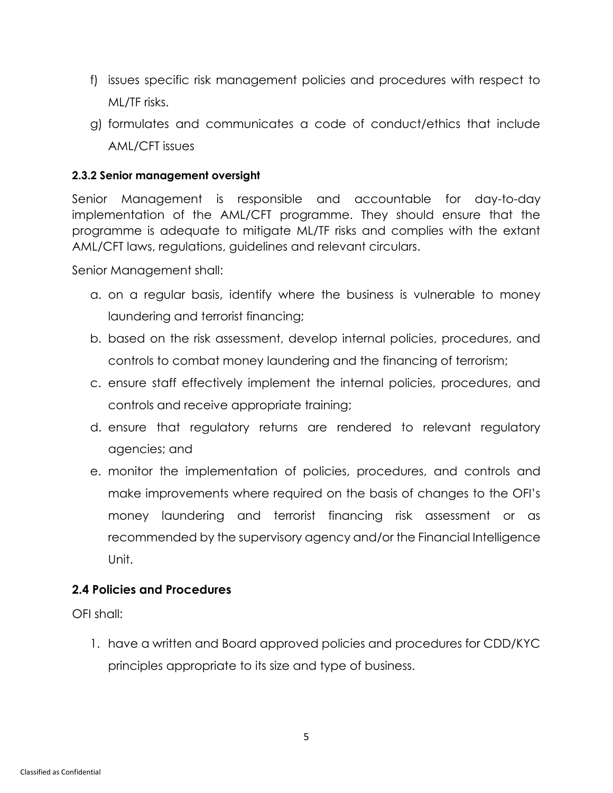- f) issues specific risk management policies and procedures with respect to ML/TF risks.
- g) formulates and communicates a code of conduct/ethics that include AML/CFT issues

#### **2.3.2 Senior management oversight**

Senior Management is responsible and accountable for day-to-day implementation of the AML/CFT programme. They should ensure that the programme is adequate to mitigate ML/TF risks and complies with the extant AML/CFT laws, regulations, guidelines and relevant circulars.

Senior Management shall:

- a. on a regular basis, identify where the business is vulnerable to money laundering and terrorist financing;
- b. based on the risk assessment, develop internal policies, procedures, and controls to combat money laundering and the financing of terrorism;
- c. ensure staff effectively implement the internal policies, procedures, and controls and receive appropriate training;
- d. ensure that regulatory returns are rendered to relevant regulatory agencies; and
- e. monitor the implementation of policies, procedures, and controls and make improvements where required on the basis of changes to the OFI's money laundering and terrorist financing risk assessment or as recommended by the supervisory agency and/or the Financial Intelligence Unit.

#### **2.4 Policies and Procedures**

OFI shall:

1. have a written and Board approved policies and procedures for CDD/KYC principles appropriate to its size and type of business.

5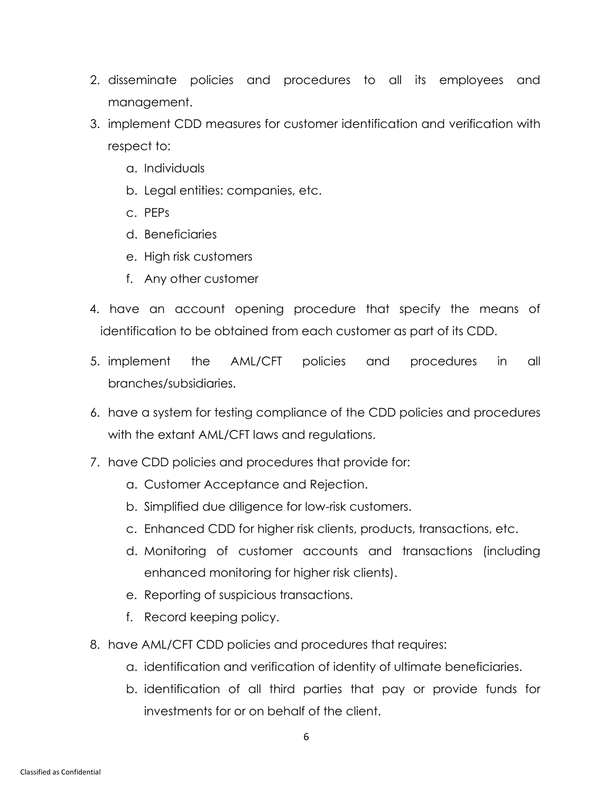- 2. disseminate policies and procedures to all its employees and management.
- 3. implement CDD measures for customer identification and verification with respect to:
	- a. Individuals
	- b. Legal entities: companies, etc.
	- c. PEPs
	- d. Beneficiaries
	- e. High risk customers
	- f. Any other customer
- 4. have an account opening procedure that specify the means of identification to be obtained from each customer as part of its CDD.
- 5. implement the AML/CFT policies and procedures in all branches/subsidiaries.
- 6. have a system for testing compliance of the CDD policies and procedures with the extant AML/CFT laws and regulations.
- 7. have CDD policies and procedures that provide for:
	- a. Customer Acceptance and Rejection.
	- b. Simplified due diligence for low-risk customers.
	- c. Enhanced CDD for higher risk clients, products, transactions, etc.
	- d. Monitoring of customer accounts and transactions (including enhanced monitoring for higher risk clients).
	- e. Reporting of suspicious transactions.
	- f. Record keeping policy.
- 8. have AML/CFT CDD policies and procedures that requires:
	- a. identification and verification of identity of ultimate beneficiaries.
	- b. identification of all third parties that pay or provide funds for investments for or on behalf of the client.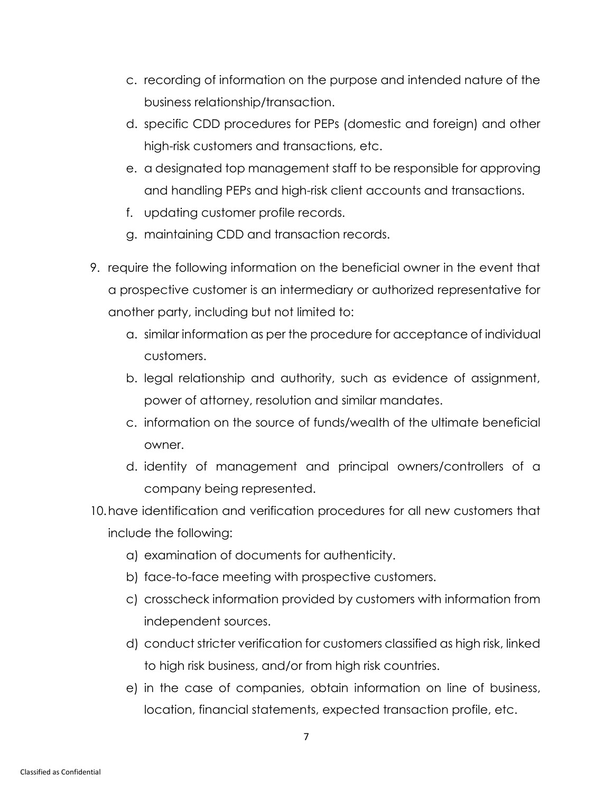- c. recording of information on the purpose and intended nature of the business relationship/transaction.
- d. specific CDD procedures for PEPs (domestic and foreign) and other high-risk customers and transactions, etc.
- e. a designated top management staff to be responsible for approving and handling PEPs and high-risk client accounts and transactions.
- f. updating customer profile records.
- g. maintaining CDD and transaction records.
- 9. require the following information on the beneficial owner in the event that a prospective customer is an intermediary or authorized representative for another party, including but not limited to:
	- a. similar information as per the procedure for acceptance of individual customers.
	- b. legal relationship and authority, such as evidence of assignment, power of attorney, resolution and similar mandates.
	- c. information on the source of funds/wealth of the ultimate beneficial owner.
	- d. identity of management and principal owners/controllers of a company being represented.
- 10.have identification and verification procedures for all new customers that include the following:
	- a) examination of documents for authenticity.
	- b) face-to-face meeting with prospective customers.
	- c) crosscheck information provided by customers with information from independent sources.
	- d) conduct stricter verification for customers classified as high risk, linked to high risk business, and/or from high risk countries.
	- e) in the case of companies, obtain information on line of business, location, financial statements, expected transaction profile, etc.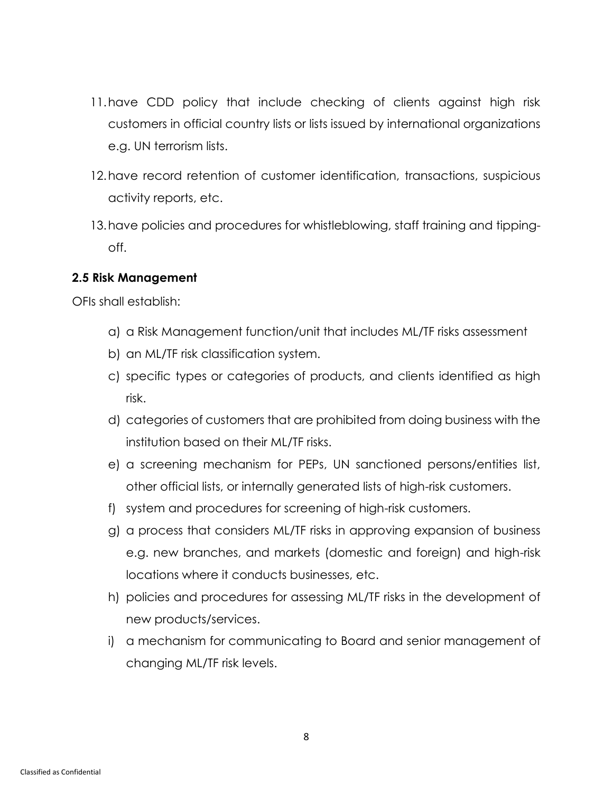- 11.have CDD policy that include checking of clients against high risk customers in official country lists or lists issued by international organizations e.g. UN terrorism lists.
- 12.have record retention of customer identification, transactions, suspicious activity reports, etc.
- 13.have policies and procedures for whistleblowing, staff training and tippingoff.

#### **2.5 Risk Management**

OFIs shall establish:

- a) a Risk Management function/unit that includes ML/TF risks assessment
- b) an ML/TF risk classification system.
- c) specific types or categories of products, and clients identified as high risk.
- d) categories of customers that are prohibited from doing business with the institution based on their ML/TF risks.
- e) a screening mechanism for PEPs, UN sanctioned persons/entities list, other official lists, or internally generated lists of high-risk customers.
- f) system and procedures for screening of high-risk customers.
- g) a process that considers ML/TF risks in approving expansion of business e.g. new branches, and markets (domestic and foreign) and high-risk locations where it conducts businesses, etc.
- h) policies and procedures for assessing ML/TF risks in the development of new products/services.
- i) a mechanism for communicating to Board and senior management of changing ML/TF risk levels.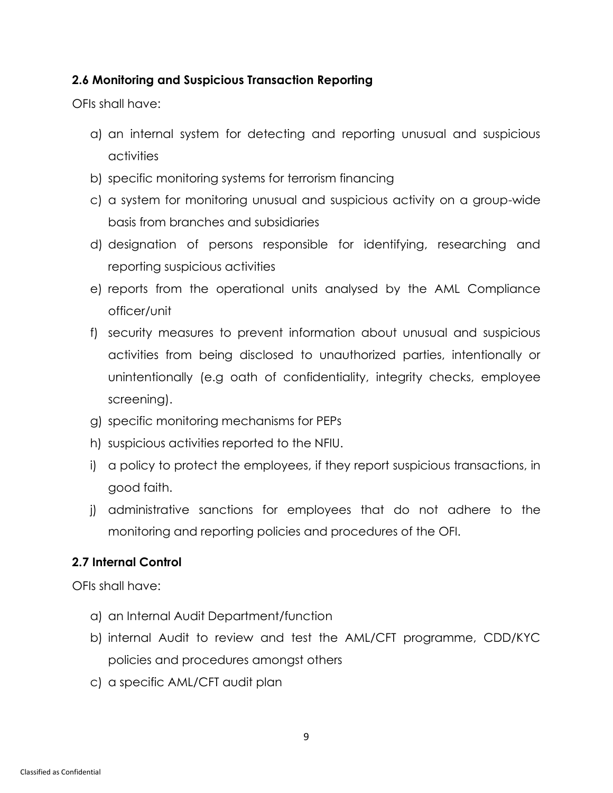#### **2.6 Monitoring and Suspicious Transaction Reporting**

OFIs shall have:

- a) an internal system for detecting and reporting unusual and suspicious activities
- b) specific monitoring systems for terrorism financing
- c) a system for monitoring unusual and suspicious activity on a group-wide basis from branches and subsidiaries
- d) designation of persons responsible for identifying, researching and reporting suspicious activities
- e) reports from the operational units analysed by the AML Compliance officer/unit
- f) security measures to prevent information about unusual and suspicious activities from being disclosed to unauthorized parties, intentionally or unintentionally (e.g oath of confidentiality, integrity checks, employee screening).
- g) specific monitoring mechanisms for PEPs
- h) suspicious activities reported to the NFIU.
- i) a policy to protect the employees, if they report suspicious transactions, in good faith.
- j) administrative sanctions for employees that do not adhere to the monitoring and reporting policies and procedures of the OFI.

### **2.7 Internal Control**

OFIs shall have:

- a) an Internal Audit Department/function
- b) internal Audit to review and test the AML/CFT programme, CDD/KYC policies and procedures amongst others
- c) a specific AML/CFT audit plan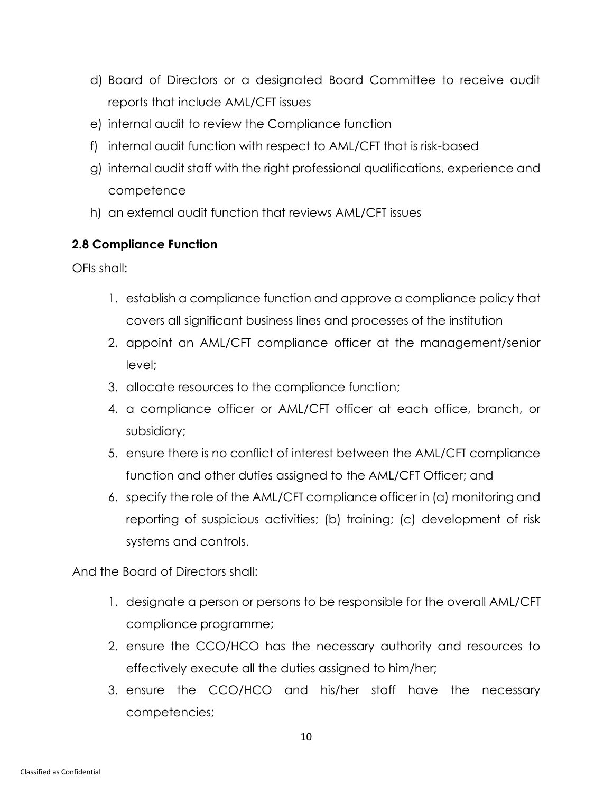- d) Board of Directors or a designated Board Committee to receive audit reports that include AML/CFT issues
- e) internal audit to review the Compliance function
- f) internal audit function with respect to AML/CFT that is risk-based
- g) internal audit staff with the right professional qualifications, experience and competence
- h) an external audit function that reviews AML/CFT issues

#### **2.8 Compliance Function**

OFIs shall:

- 1. establish a compliance function and approve a compliance policy that covers all significant business lines and processes of the institution
- 2. appoint an AML/CFT compliance officer at the management/senior level;
- 3. allocate resources to the compliance function;
- 4. a compliance officer or AML/CFT officer at each office, branch, or subsidiary;
- 5. ensure there is no conflict of interest between the AML/CFT compliance function and other duties assigned to the AML/CFT Officer; and
- 6. specify the role of the AML/CFT compliance officer in (a) monitoring and reporting of suspicious activities; (b) training; (c) development of risk systems and controls.

And the Board of Directors shall:

- 1. designate a person or persons to be responsible for the overall AML/CFT compliance programme;
- 2. ensure the CCO/HCO has the necessary authority and resources to effectively execute all the duties assigned to him/her;
- 3. ensure the CCO/HCO and his/her staff have the necessary competencies;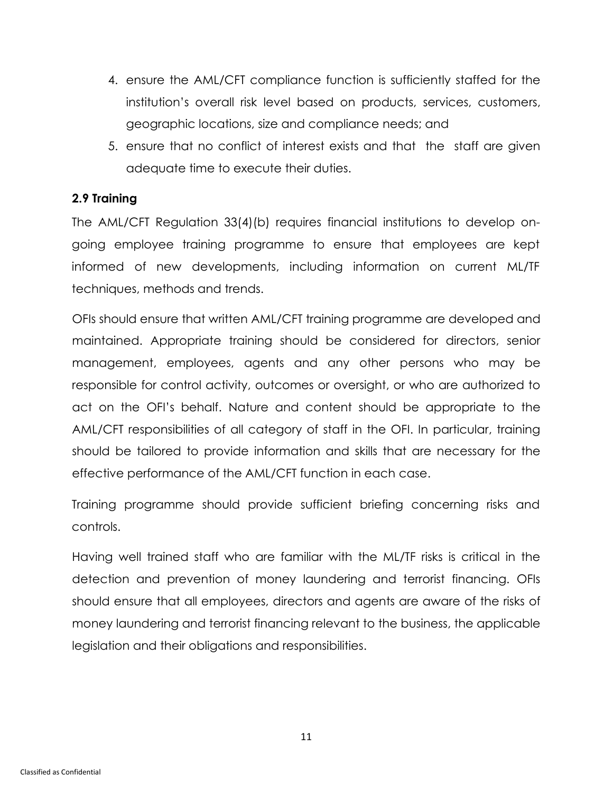- 4. ensure the AML/CFT compliance function is sufficiently staffed for the institution's overall risk level based on products, services, customers, geographic locations, size and compliance needs; and
- 5. ensure that no conflict of interest exists and that the staff are given adequate time to execute their duties.

#### **2.9 Training**

The AML/CFT Regulation 33(4)(b) requires financial institutions to develop ongoing employee training programme to ensure that employees are kept informed of new developments, including information on current ML/TF techniques, methods and trends.

OFIs should ensure that written AML/CFT training programme are developed and maintained. Appropriate training should be considered for directors, senior management, employees, agents and any other persons who may be responsible for control activity, outcomes or oversight, or who are authorized to act on the OFI's behalf. Nature and content should be appropriate to the AML/CFT responsibilities of all category of staff in the OFI. In particular, training should be tailored to provide information and skills that are necessary for the effective performance of the AML/CFT function in each case.

Training programme should provide sufficient briefing concerning risks and controls.

Having well trained staff who are familiar with the ML/TF risks is critical in the detection and prevention of money laundering and terrorist financing. OFIs should ensure that all employees, directors and agents are aware of the risks of money laundering and terrorist financing relevant to the business, the applicable legislation and their obligations and responsibilities.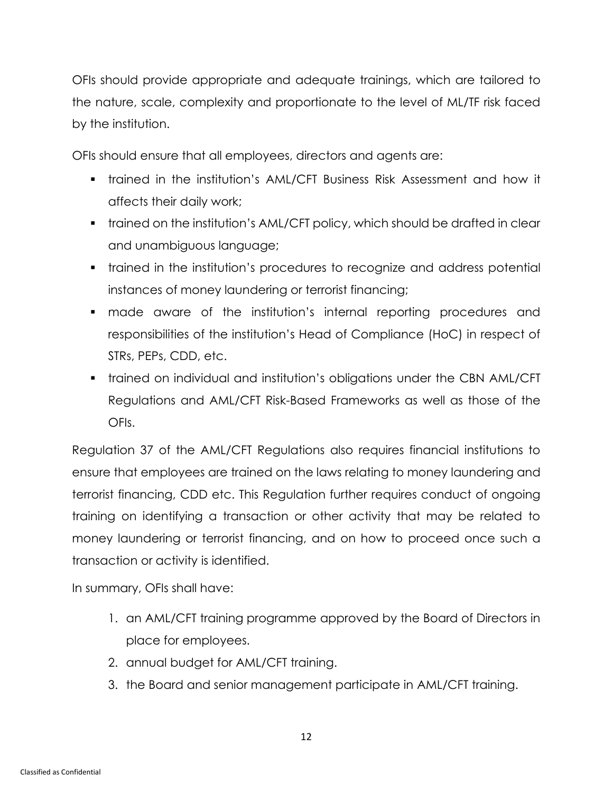OFIs should provide appropriate and adequate trainings, which are tailored to the nature, scale, complexity and proportionate to the level of ML/TF risk faced by the institution.

OFIs should ensure that all employees, directors and agents are:

- trained in the institution's AML/CFT Business Risk Assessment and how it affects their daily work;
- trained on the institution's AML/CFT policy, which should be drafted in clear and unambiguous language;
- trained in the institution's procedures to recognize and address potential instances of money laundering or terrorist financing;
- made aware of the institution's internal reporting procedures and responsibilities of the institution's Head of Compliance (HoC) in respect of STRs, PEPs, CDD, etc.
- trained on individual and institution's obligations under the CBN AML/CFT Regulations and AML/CFT Risk-Based Frameworks as well as those of the OFIs.

Regulation 37 of the AML/CFT Regulations also requires financial institutions to ensure that employees are trained on the laws relating to money laundering and terrorist financing, CDD etc. This Regulation further requires conduct of ongoing training on identifying a transaction or other activity that may be related to money laundering or terrorist financing, and on how to proceed once such a transaction or activity is identified.

In summary, OFIs shall have:

- 1. an AML/CFT training programme approved by the Board of Directors in place for employees.
- 2. annual budget for AML/CFT training.
- 3. the Board and senior management participate in AML/CFT training.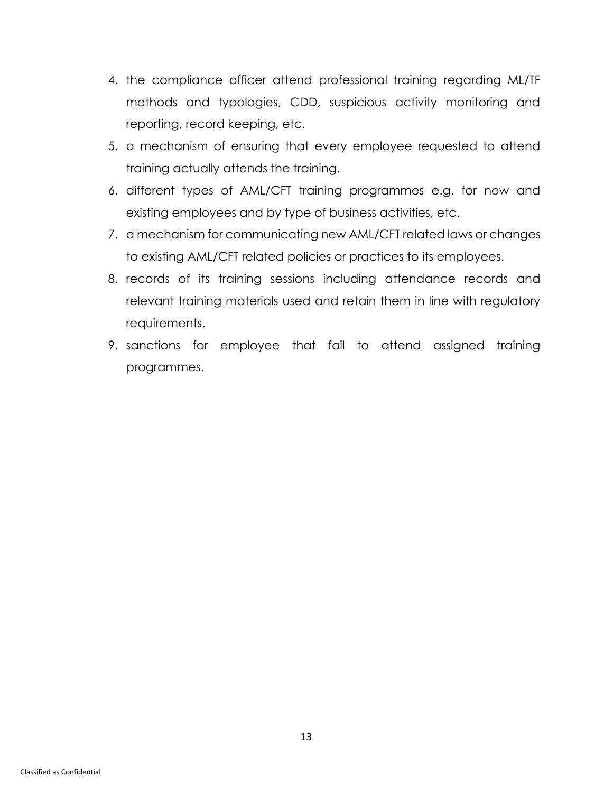- 4. the compliance officer attend professional training regarding ML/TF methods and typologies, CDD, suspicious activity monitoring and reporting, record keeping, etc.
- 5. a mechanism of ensuring that every employee requested to attend training actually attends the training.
- 6. different types of AML/CFT training programmes e.g. for new and existing employees and by type of business activities, etc.
- 7. a mechanism for communicating new AML/CFT related laws or changes to existing AML/CFT related policies or practices to its employees.
- 8. records of its training sessions including attendance records and relevant training materials used and retain them in line with regulatory requirements.
- 9. sanctions for employee that fail to attend assigned training programmes.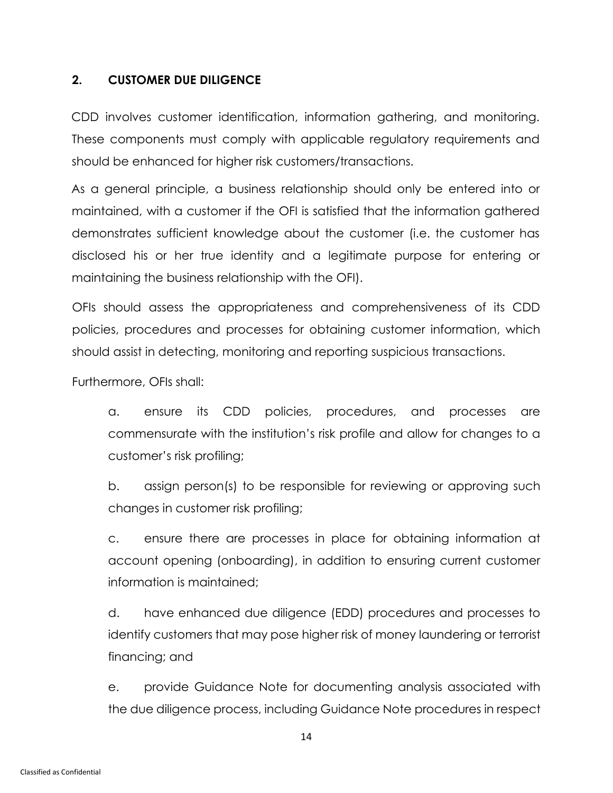#### <span id="page-18-0"></span>**2. CUSTOMER DUE DILIGENCE**

CDD involves customer identification, information gathering, and monitoring. These components must comply with applicable regulatory requirements and should be enhanced for higher risk customers/transactions.

As a general principle, a business relationship should only be entered into or maintained, with a customer if the OFI is satisfied that the information gathered demonstrates sufficient knowledge about the customer (i.e. the customer has disclosed his or her true identity and a legitimate purpose for entering or maintaining the business relationship with the OFI).

OFIs should assess the appropriateness and comprehensiveness of its CDD policies, procedures and processes for obtaining customer information, which should assist in detecting, monitoring and reporting suspicious transactions.

Furthermore, OFIs shall:

a. ensure its CDD policies, procedures, and processes are commensurate with the institution's risk profile and allow for changes to a customer's risk profiling;

b. assign person(s) to be responsible for reviewing or approving such changes in customer risk profiling;

c. ensure there are processes in place for obtaining information at account opening (onboarding), in addition to ensuring current customer information is maintained;

d. have enhanced due diligence (EDD) procedures and processes to identify customers that may pose higher risk of money laundering or terrorist financing; and

e. provide Guidance Note for documenting analysis associated with the due diligence process, including Guidance Note procedures in respect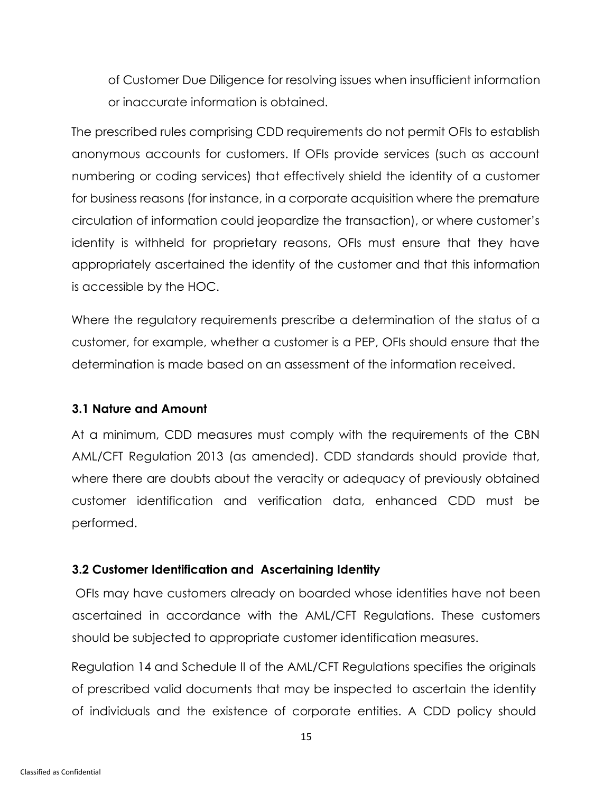of Customer Due Diligence for resolving issues when insufficient information or inaccurate information is obtained.

The prescribed rules comprising CDD requirements do not permit OFIs to establish anonymous accounts for customers. If OFIs provide services (such as account numbering or coding services) that effectively shield the identity of a customer for business reasons (for instance, in a corporate acquisition where the premature circulation of information could jeopardize the transaction), or where customer's identity is withheld for proprietary reasons, OFIs must ensure that they have appropriately ascertained the identity of the customer and that this information is accessible by the HOC.

Where the regulatory requirements prescribe a determination of the status of a customer, for example, whether a customer is a PEP, OFIs should ensure that the determination is made based on an assessment of the information received.

#### **3.1 Nature and Amount**

At a minimum, CDD measures must comply with the requirements of the CBN AML/CFT Regulation 2013 (as amended). CDD standards should provide that, where there are doubts about the veracity or adequacy of previously obtained customer identification and verification data, enhanced CDD must be performed.

#### **3.2 Customer Identification and Ascertaining Identity**

OFIs may have customers already on boarded whose identities have not been ascertained in accordance with the AML/CFT Regulations. These customers should be subjected to appropriate customer identification measures.

Regulation 14 and Schedule II of the AML/CFT Regulations specifies the originals of prescribed valid documents that may be inspected to ascertain the identity of individuals and the existence of corporate entities. A CDD policy should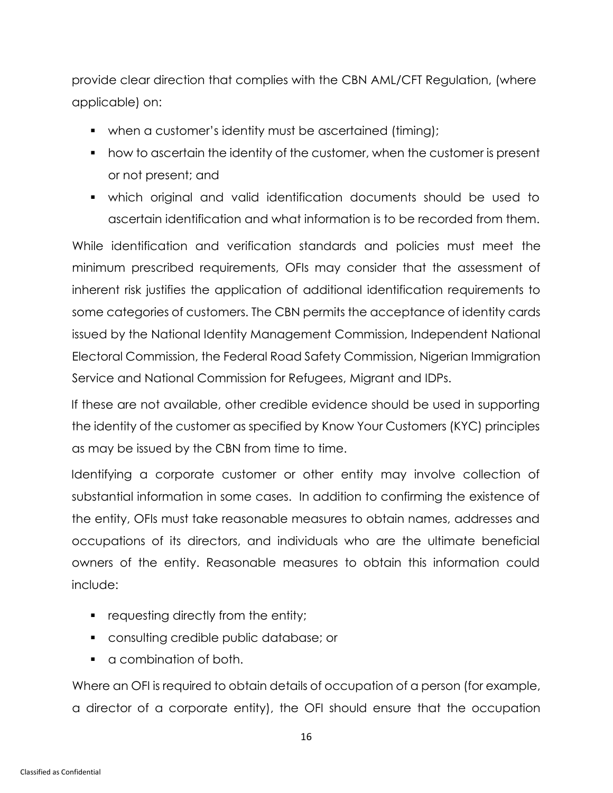provide clear direction that complies with the CBN AML/CFT Regulation, (where applicable) on:

- when a customer's identity must be ascertained (timing);
- how to ascertain the identity of the customer, when the customer is present or not present; and
- which original and valid identification documents should be used to ascertain identification and what information is to be recorded from them.

While identification and verification standards and policies must meet the minimum prescribed requirements, OFIs may consider that the assessment of inherent risk justifies the application of additional identification requirements to some categories of customers. The CBN permits the acceptance of identity cards issued by the National Identity Management Commission, Independent National Electoral Commission, the Federal Road Safety Commission, Nigerian Immigration Service and National Commission for Refugees, Migrant and IDPs.

If these are not available, other credible evidence should be used in supporting the identity of the customer as specified by Know Your Customers (KYC) principles as may be issued by the CBN from time to time.

Identifying a corporate customer or other entity may involve collection of substantial information in some cases. In addition to confirming the existence of the entity, OFIs must take reasonable measures to obtain names, addresses and occupations of its directors, and individuals who are the ultimate beneficial owners of the entity. Reasonable measures to obtain this information could include:

- **•** requesting directly from the entity;
- consulting credible public database; or
- a combination of both.

Where an OFI is required to obtain details of occupation of a person (for example, a director of a corporate entity), the OFI should ensure that the occupation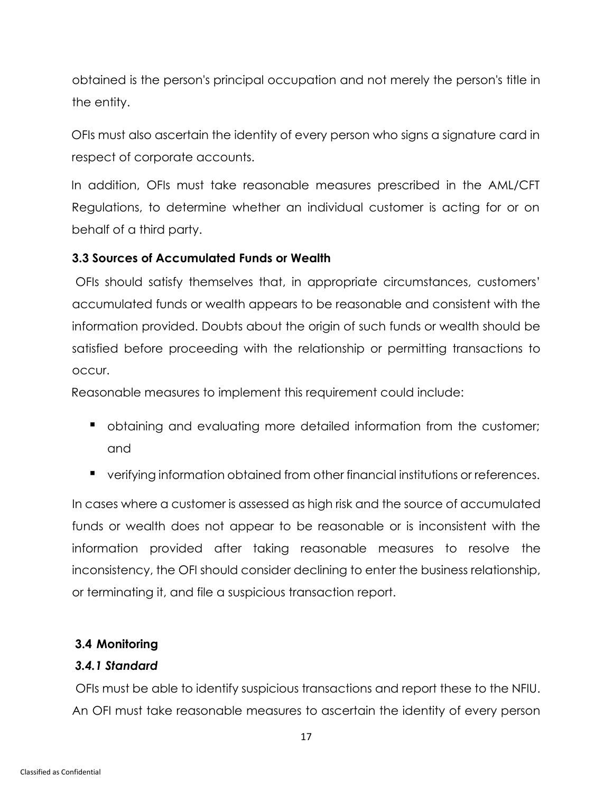obtained is the person's principal occupation and not merely the person's title in the entity.

OFIs must also ascertain the identity of every person who signs a signature card in respect of corporate accounts.

In addition, OFIs must take reasonable measures prescribed in the AML/CFT Regulations, to determine whether an individual customer is acting for or on behalf of a third party.

#### **3.3 Sources of Accumulated Funds or Wealth**

OFIs should satisfy themselves that, in appropriate circumstances, customers' accumulated funds or wealth appears to be reasonable and consistent with the information provided. Doubts about the origin of such funds or wealth should be satisfied before proceeding with the relationship or permitting transactions to occur.

Reasonable measures to implement this requirement could include:

- obtaining and evaluating more detailed information from the customer; and
- verifying information obtained from other financial institutions or references.

In cases where a customer is assessed as high risk and the source of accumulated funds or wealth does not appear to be reasonable or is inconsistent with the information provided after taking reasonable measures to resolve the inconsistency, the OFI should consider declining to enter the business relationship, or terminating it, and file a suspicious transaction report.

### **3.4 Monitoring**

### *3.4.1 Standard*

OFIs must be able to identify suspicious transactions and report these to the NFIU. An OFI must take reasonable measures to ascertain the identity of every person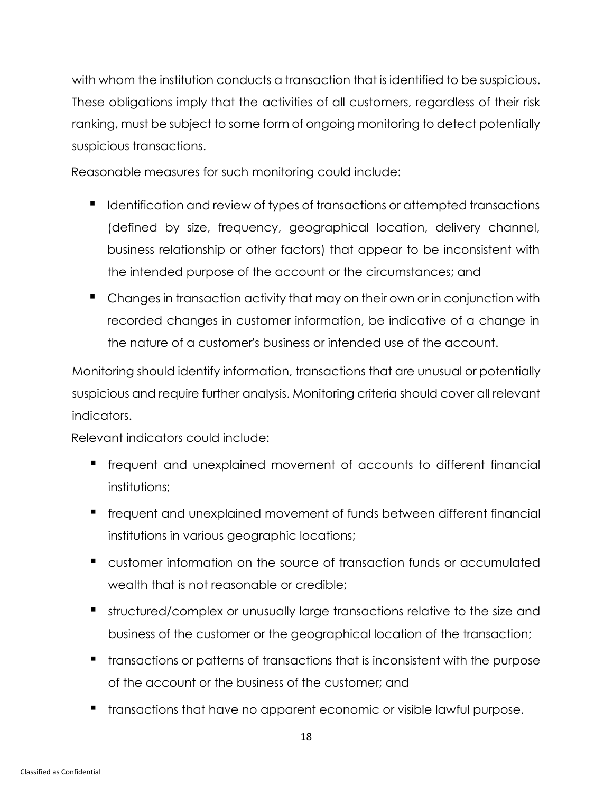with whom the institution conducts a transaction that is identified to be suspicious. These obligations imply that the activities of all customers, regardless of their risk ranking, must be subject to some form of ongoing monitoring to detect potentially suspicious transactions.

Reasonable measures for such monitoring could include:

- Identification and review of types of transactions or attempted transactions (defined by size, frequency, geographical location, delivery channel, business relationship or other factors) that appear to be inconsistent with the intended purpose of the account or the circumstances; and
- Changes in transaction activity that may on their own or in conjunction with recorded changes in customer information, be indicative of a change in the nature of a customer's business or intended use of the account.

Monitoring should identify information, transactions that are unusual or potentially suspicious and require further analysis. Monitoring criteria should cover all relevant indicators.

Relevant indicators could include:

- **•** frequent and unexplained movement of accounts to different financial institutions;
- frequent and unexplained movement of funds between different financial institutions in various geographic locations;
- customer information on the source of transaction funds or accumulated wealth that is not reasonable or credible;
- structured/complex or unusually large transactions relative to the size and business of the customer or the geographical location of the transaction;
- transactions or patterns of transactions that is inconsistent with the purpose of the account or the business of the customer; and
- **•** transactions that have no apparent economic or visible lawful purpose.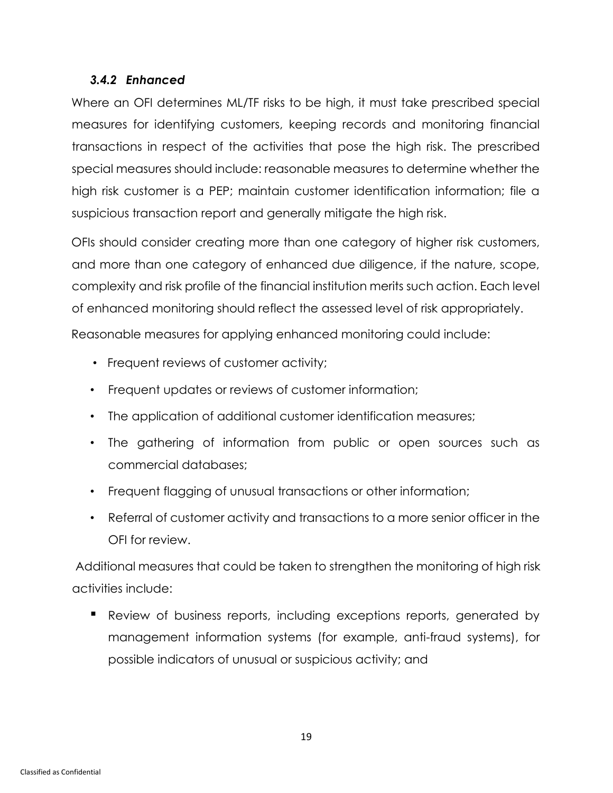#### *3.4.2 Enhanced*

Where an OFI determines ML/TF risks to be high, it must take prescribed special measures for identifying customers, keeping records and monitoring financial transactions in respect of the activities that pose the high risk. The prescribed special measures should include: reasonable measures to determine whether the high risk customer is a PEP; maintain customer identification information; file a suspicious transaction report and generally mitigate the high risk.

OFIs should consider creating more than one category of higher risk customers, and more than one category of enhanced due diligence, if the nature, scope, complexity and risk profile of the financial institution merits such action. Each level of enhanced monitoring should reflect the assessed level of risk appropriately.

Reasonable measures for applying enhanced monitoring could include:

- Frequent reviews of customer activity;
- Frequent updates or reviews of customer information;
- The application of additional customer identification measures;
- The gathering of information from public or open sources such as commercial databases;
- Frequent flagging of unusual transactions or other information;
- Referral of customer activity and transactions to a more senior officer in the OFI for review.

Additional measures that could be taken to strengthen the monitoring of high risk activities include:

■ Review of business reports, including exceptions reports, generated by management information systems (for example, anti-fraud systems), for possible indicators of unusual or suspicious activity; and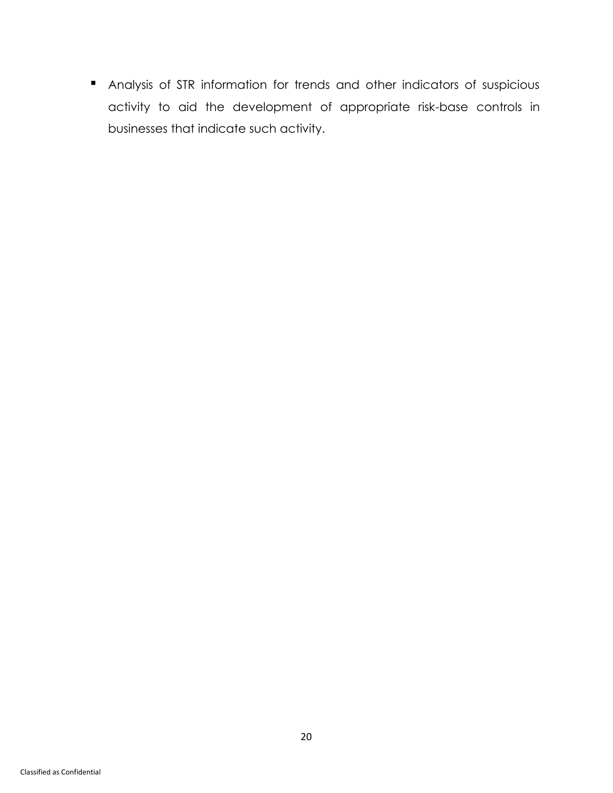**■** Analysis of STR information for trends and other indicators of suspicious activity to aid the development of appropriate risk-base controls in businesses that indicate such activity.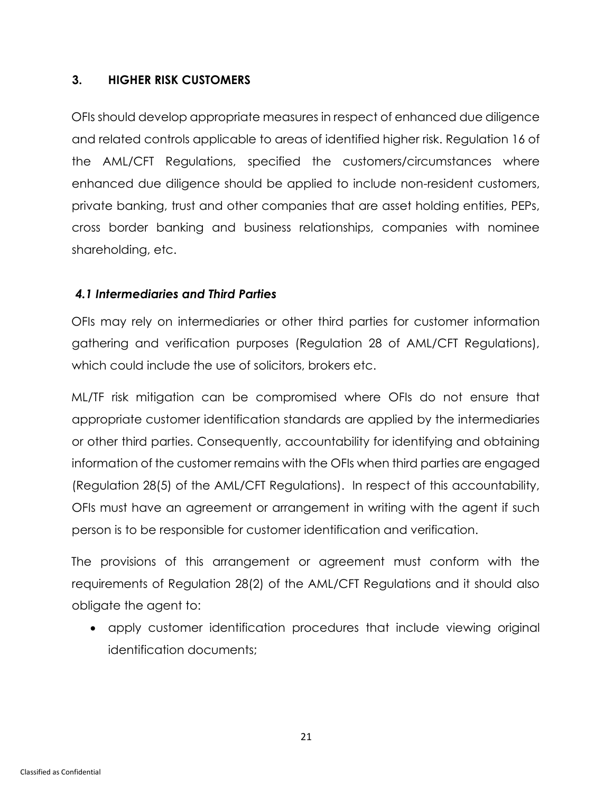#### <span id="page-25-0"></span>**3. HIGHER RISK CUSTOMERS**

OFIs should develop appropriate measures in respect of enhanced due diligence and related controls applicable to areas of identified higher risk. Regulation 16 of the AML/CFT Regulations, specified the customers/circumstances where enhanced due diligence should be applied to include non-resident customers, private banking, trust and other companies that are asset holding entities, PEPs, cross border banking and business relationships, companies with nominee shareholding, etc.

#### *4.1 Intermediaries and Third Parties*

OFIs may rely on intermediaries or other third parties for customer information gathering and verification purposes (Regulation 28 of AML/CFT Regulations), which could include the use of solicitors, brokers etc.

ML/TF risk mitigation can be compromised where OFIs do not ensure that appropriate customer identification standards are applied by the intermediaries or other third parties. Consequently, accountability for identifying and obtaining information of the customer remains with the OFIs when third parties are engaged (Regulation 28(5) of the AML/CFT Regulations). In respect of this accountability, OFIs must have an agreement or arrangement in writing with the agent if such person is to be responsible for customer identification and verification.

The provisions of this arrangement or agreement must conform with the requirements of Regulation 28(2) of the AML/CFT Regulations and it should also obligate the agent to:

• apply customer identification procedures that include viewing original identification documents;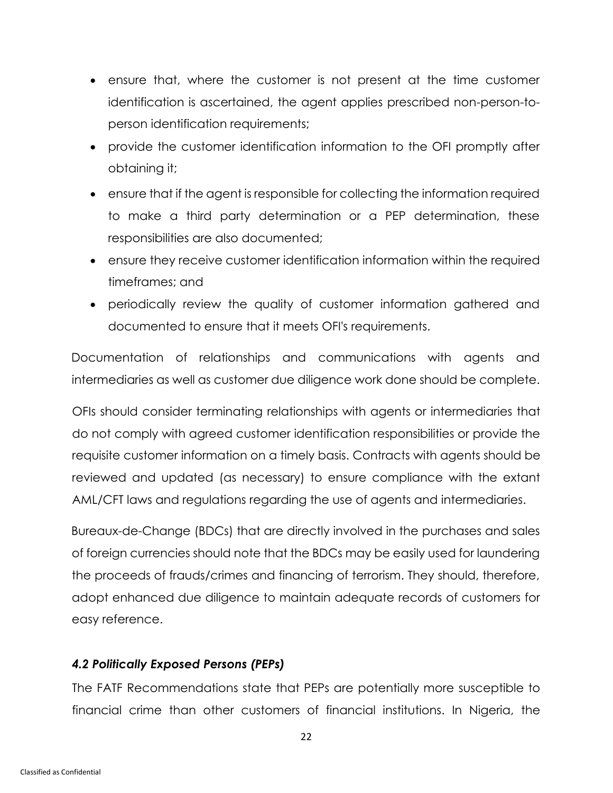- ensure that, where the customer is not present at the time customer identification is ascertained, the agent applies prescribed non-person-toperson identification requirements;
- provide the customer identification information to the OFI promptly after obtaining it;
- ensure that if the agent is responsible for collecting the information required to make a third party determination or a PEP determination, these responsibilities are also documented;
- ensure they receive customer identification information within the required timeframes; and
- periodically review the quality of customer information gathered and documented to ensure that it meets OFI's requirements.

Documentation of relationships and communications with agents and intermediaries as well as customer due diligence work done should be complete.

OFIs should consider terminating relationships with agents or intermediaries that do not comply with agreed customer identification responsibilities or provide the requisite customer information on a timely basis. Contracts with agents should be reviewed and updated (as necessary) to ensure compliance with the extant AML/CFT laws and regulations regarding the use of agents and intermediaries.

Bureaux-de-Change (BDCs) that are directly involved in the purchases and sales of foreign currencies should note that the BDCs may be easily used for laundering the proceeds of frauds/crimes and financing of terrorism. They should, therefore, adopt enhanced due diligence to maintain adequate records of customers for easy reference.

# *4.2 Politically Exposed Persons (PEPs)*

The FATF Recommendations state that PEPs are potentially more susceptible to financial crime than other customers of financial institutions. In Nigeria, the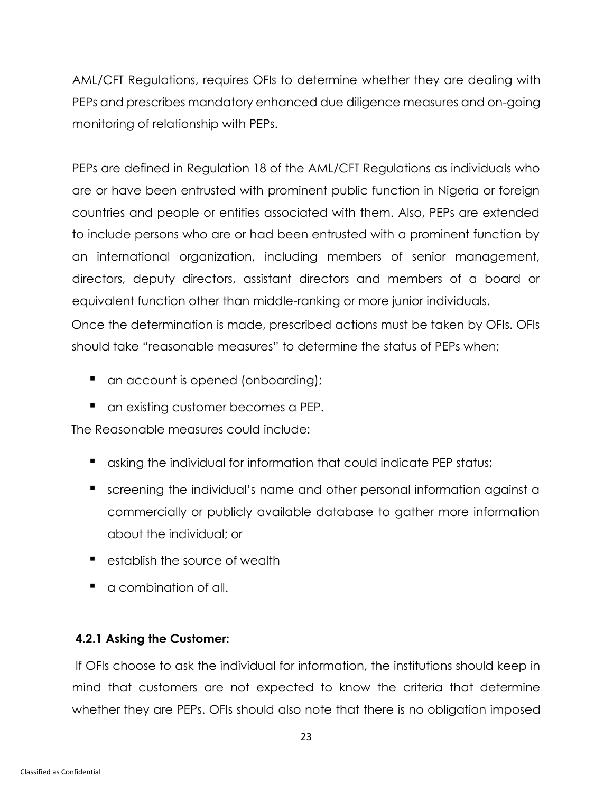AML/CFT Regulations, requires OFIs to determine whether they are dealing with PEPs and prescribes mandatory enhanced due diligence measures and on-going monitoring of relationship with PEPs.

PEPs are defined in Regulation 18 of the AML/CFT Regulations as individuals who are or have been entrusted with prominent public function in Nigeria or foreign countries and people or entities associated with them. Also, PEPs are extended to include persons who are or had been entrusted with a prominent function by an international organization, including members of senior management, directors, deputy directors, assistant directors and members of a board or equivalent function other than middle-ranking or more junior individuals.

Once the determination is made, prescribed actions must be taken by OFIs. OFIs should take "reasonable measures" to determine the status of PEPs when;

- an account is opened (onboarding);
- an existing customer becomes a PEP.

The Reasonable measures could include:

- asking the individual for information that could indicate PEP status;
- screening the individual's name and other personal information against a commercially or publicly available database to gather more information about the individual; or
- establish the source of wealth
- a combination of all.

### **4.2.1 Asking the Customer:**

If OFIs choose to ask the individual for information, the institutions should keep in mind that customers are not expected to know the criteria that determine whether they are PEPs. OFIs should also note that there is no obligation imposed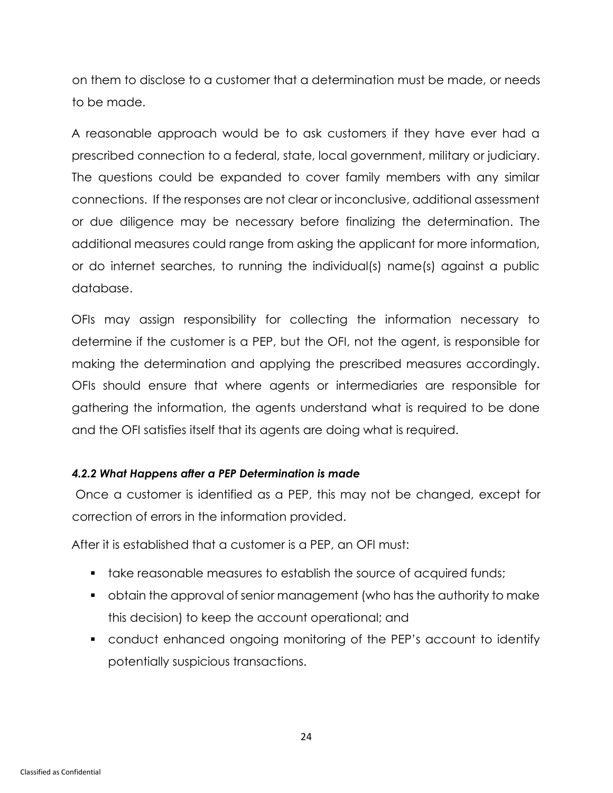on them to disclose to a customer that a determination must be made, or needs to be made.

A reasonable approach would be to ask customers if they have ever had a prescribed connection to a federal, state, local government, military or judiciary. The questions could be expanded to cover family members with any similar connections. If the responses are not clear or inconclusive, additional assessment or due diligence may be necessary before finalizing the determination. The additional measures could range from asking the applicant for more information, or do internet searches, to running the individual(s) name(s) against a public database.

OFIs may assign responsibility for collecting the information necessary to determine if the customer is a PEP, but the OFI, not the agent, is responsible for making the determination and applying the prescribed measures accordingly. OFIs should ensure that where agents or intermediaries are responsible for gathering the information, the agents understand what is required to be done and the OFI satisfies itself that its agents are doing what is required.

### *4.2.2 What Happens after a PEP Determination is made*

Once a customer is identified as a PEP, this may not be changed, except for correction of errors in the information provided.

After it is established that a customer is a PEP, an OFI must:

- take reasonable measures to establish the source of acquired funds;
- obtain the approval of senior management (who has the authority to make this decision) to keep the account operational; and
- conduct enhanced ongoing monitoring of the PEP's account to identify potentially suspicious transactions.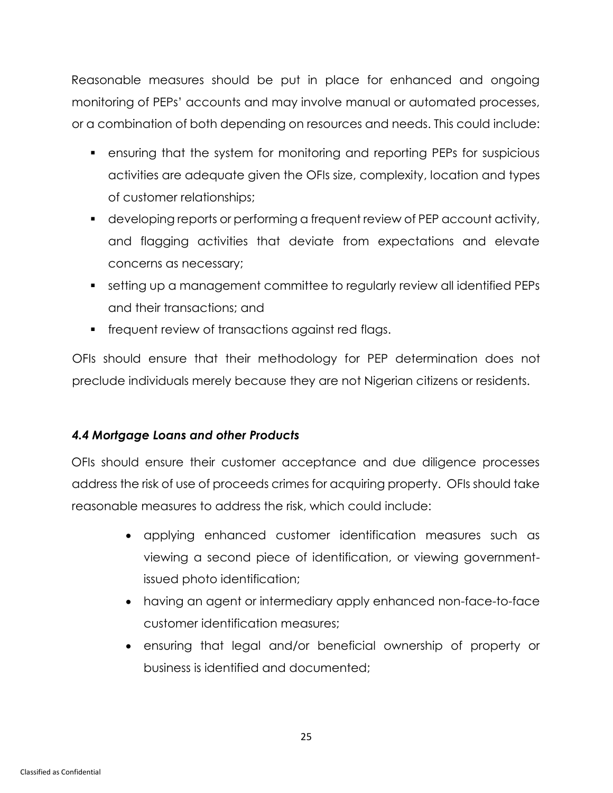Reasonable measures should be put in place for enhanced and ongoing monitoring of PEPs' accounts and may involve manual or automated processes, or a combination of both depending on resources and needs. This could include:

- ensuring that the system for monitoring and reporting PEPs for suspicious activities are adequate given the OFIs size, complexity, location and types of customer relationships;
- developing reports or performing a frequent review of PEP account activity, and flagging activities that deviate from expectations and elevate concerns as necessary;
- setting up a management committee to regularly review all identified PEPs and their transactions; and
- frequent review of transactions against red flags.

OFIs should ensure that their methodology for PEP determination does not preclude individuals merely because they are not Nigerian citizens or residents.

# *4.4 Mortgage Loans and other Products*

OFIs should ensure their customer acceptance and due diligence processes address the risk of use of proceeds crimes for acquiring property. OFIs should take reasonable measures to address the risk, which could include:

- applying enhanced customer identification measures such as viewing a second piece of identification, or viewing governmentissued photo identification;
- having an agent or intermediary apply enhanced non-face-to-face customer identification measures;
- ensuring that legal and/or beneficial ownership of property or business is identified and documented;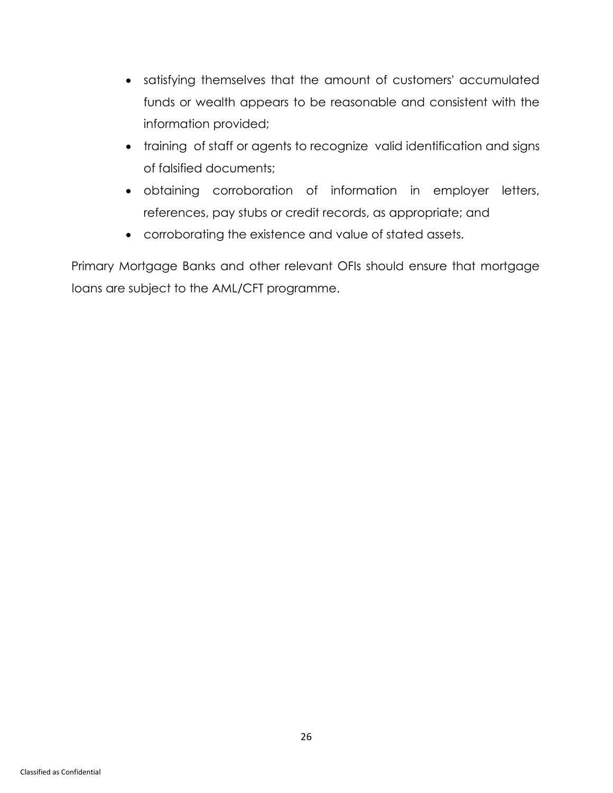- satisfying themselves that the amount of customers' accumulated funds or wealth appears to be reasonable and consistent with the information provided;
- training of staff or agents to recognize valid identification and signs of falsified documents;
- obtaining corroboration of information in employer letters, references, pay stubs or credit records, as appropriate; and
- corroborating the existence and value of stated assets.

Primary Mortgage Banks and other relevant OFIs should ensure that mortgage loans are subject to the AML/CFT programme.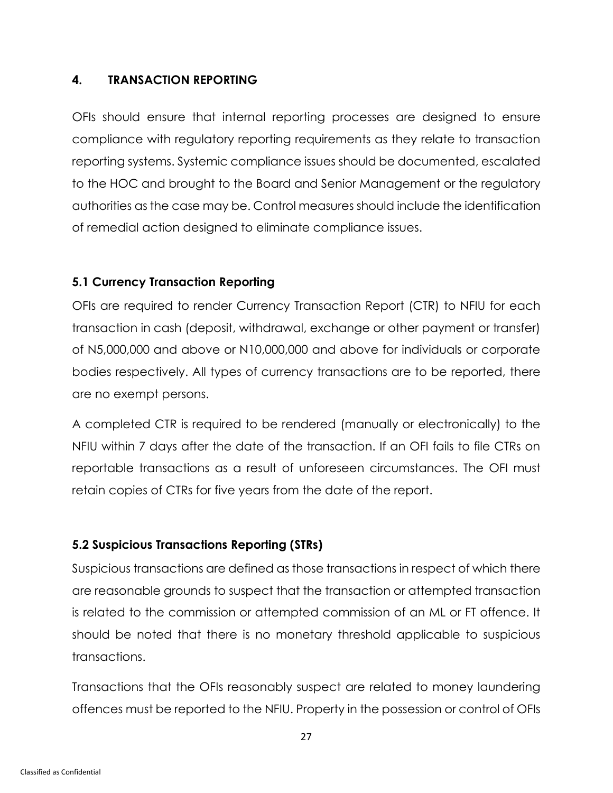#### <span id="page-31-0"></span>**4. TRANSACTION REPORTING**

OFIs should ensure that internal reporting processes are designed to ensure compliance with regulatory reporting requirements as they relate to transaction reporting systems. Systemic compliance issues should be documented, escalated to the HOC and brought to the Board and Senior Management or the regulatory authorities as the case may be. Control measures should include the identification of remedial action designed to eliminate compliance issues.

#### **5.1 Currency Transaction Reporting**

OFIs are required to render Currency Transaction Report (CTR) to NFIU for each transaction in cash (deposit, withdrawal, exchange or other payment or transfer) of N5,000,000 and above or N10,000,000 and above for individuals or corporate bodies respectively. All types of currency transactions are to be reported, there are no exempt persons.

A completed CTR is required to be rendered (manually or electronically) to the NFIU within 7 days after the date of the transaction. If an OFI fails to file CTRs on reportable transactions as a result of unforeseen circumstances. The OFI must retain copies of CTRs for five years from the date of the report.

### **5.2 Suspicious Transactions Reporting (STRs)**

Suspicious transactions are defined as those transactions in respect of which there are reasonable grounds to suspect that the transaction or attempted transaction is related to the commission or attempted commission of an ML or FT offence. It should be noted that there is no monetary threshold applicable to suspicious transactions.

Transactions that the OFIs reasonably suspect are related to money laundering offences must be reported to the NFIU. Property in the possession or control of OFIs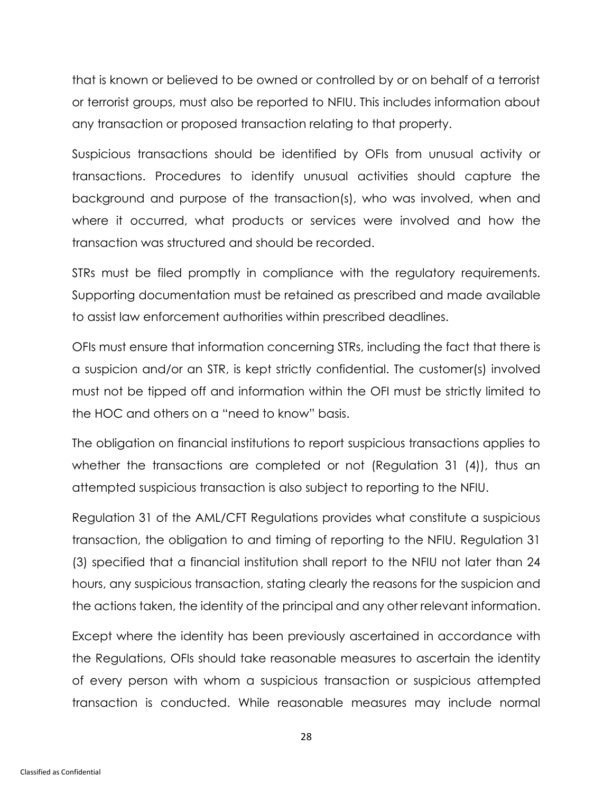that is known or believed to be owned or controlled by or on behalf of a terrorist or terrorist groups, must also be reported to NFIU. This includes information about any transaction or proposed transaction relating to that property.

Suspicious transactions should be identified by OFIs from unusual activity or transactions. Procedures to identify unusual activities should capture the background and purpose of the transaction(s), who was involved, when and where it occurred, what products or services were involved and how the transaction was structured and should be recorded.

STRs must be filed promptly in compliance with the regulatory requirements. Supporting documentation must be retained as prescribed and made available to assist law enforcement authorities within prescribed deadlines.

OFIs must ensure that information concerning STRs, including the fact that there is a suspicion and/or an STR, is kept strictly confidential. The customer(s) involved must not be tipped off and information within the OFI must be strictly limited to the HOC and others on a "need to know" basis.

The obligation on financial institutions to report suspicious transactions applies to whether the transactions are completed or not (Regulation 31 (4)), thus an attempted suspicious transaction is also subject to reporting to the NFIU.

Regulation 31 of the AML/CFT Regulations provides what constitute a suspicious transaction, the obligation to and timing of reporting to the NFIU. Regulation 31 (3) specified that a financial institution shall report to the NFIU not later than 24 hours, any suspicious transaction, stating clearly the reasons for the suspicion and the actions taken, the identity of the principal and any other relevant information.

Except where the identity has been previously ascertained in accordance with the Regulations, OFIs should take reasonable measures to ascertain the identity of every person with whom a suspicious transaction or suspicious attempted transaction is conducted. While reasonable measures may include normal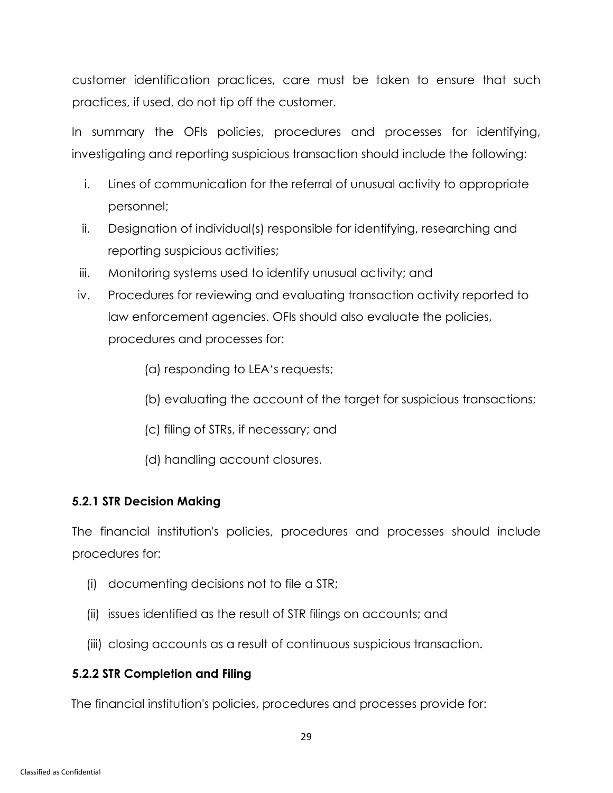customer identification practices, care must be taken to ensure that such practices, if used, do not tip off the customer.

In summary the OFIs policies, procedures and processes for identifying, investigating and reporting suspicious transaction should include the following:

- i. Lines of communication for the referral of unusual activity to appropriate personnel;
- ii. Designation of individual(s) responsible for identifying, researching and reporting suspicious activities;
- iii. Monitoring systems used to identify unusual activity; and
- iv. Procedures for reviewing and evaluating transaction activity reported to law enforcement agencies. OFIs should also evaluate the policies, procedures and processes for:
	- (a) responding to LEA's requests;
	- (b) evaluating the account of the target for suspicious transactions;
	- (c) filing of STRs, if necessary; and
	- (d) handling account closures.

### **5.2.1 STR Decision Making**

The financial institution's policies, procedures and processes should include procedures for:

- (i) documenting decisions not to file a STR;
- (ii) issues identified as the result of STR filings on accounts; and
- (iii) closing accounts as a result of continuous suspicious transaction.

### **5.2.2 STR Completion and Filing**

The financial institution's policies, procedures and processes provide for: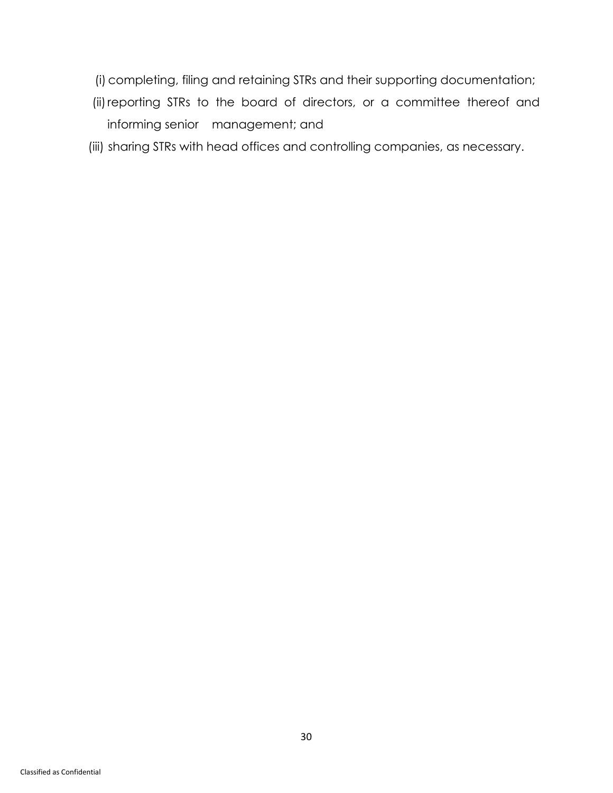- (i) completing, filing and retaining STRs and their supporting documentation;
- (ii) reporting STRs to the board of directors, or a committee thereof and informing senior management; and
- (iii) sharing STRs with head offices and controlling companies, as necessary.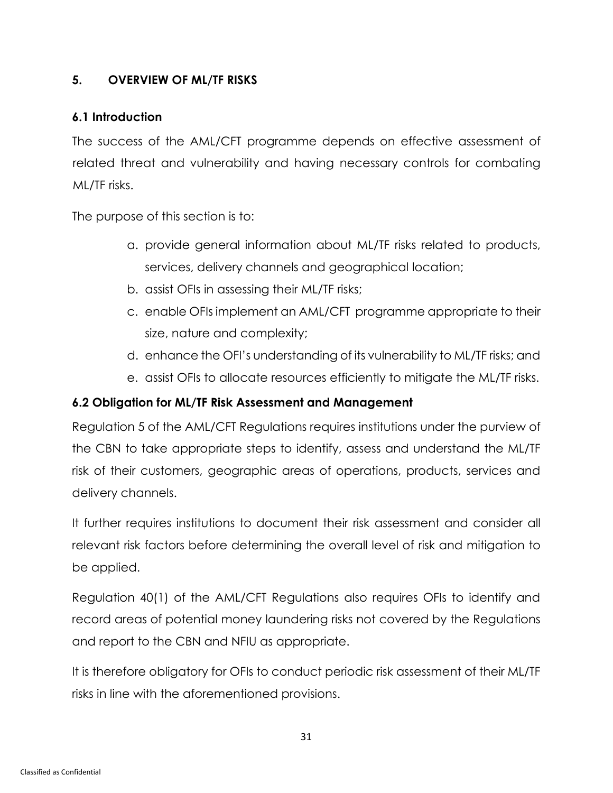#### <span id="page-35-0"></span>**5. OVERVIEW OF ML/TF RISKS**

#### **6.1 Introduction**

The success of the AML/CFT programme depends on effective assessment of related threat and vulnerability and having necessary controls for combating ML/TF risks.

The purpose of this section is to:

- a. provide general information about ML/TF risks related to products, services, delivery channels and geographical location;
- b. assist OFIs in assessing their ML/TF risks;
- c. enable OFIs implement an AML/CFT programme appropriate to their size, nature and complexity;
- d. enhance the OFI's understanding of its vulnerability to ML/TF risks; and
- e. assist OFIs to allocate resources efficiently to mitigate the ML/TF risks.

#### **6.2 Obligation for ML/TF Risk Assessment and Management**

Regulation 5 of the AML/CFT Regulations requires institutions under the purview of the CBN to take appropriate steps to identify, assess and understand the ML/TF risk of their customers, geographic areas of operations, products, services and delivery channels.

It further requires institutions to document their risk assessment and consider all relevant risk factors before determining the overall level of risk and mitigation to be applied.

Regulation 40(1) of the AML/CFT Regulations also requires OFIs to identify and record areas of potential money laundering risks not covered by the Regulations and report to the CBN and NFIU as appropriate.

It is therefore obligatory for OFIs to conduct periodic risk assessment of their ML/TF risks in line with the aforementioned provisions.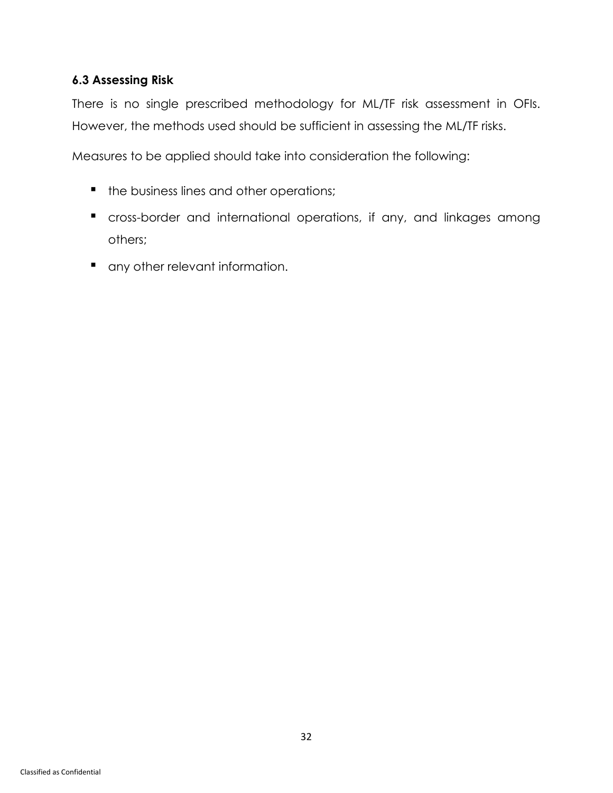# **6.3 Assessing Risk**

There is no single prescribed methodology for ML/TF risk assessment in OFIs. However, the methods used should be sufficient in assessing the ML/TF risks.

Measures to be applied should take into consideration the following:

- the business lines and other operations;
- cross-border and international operations, if any, and linkages among others;
- any other relevant information.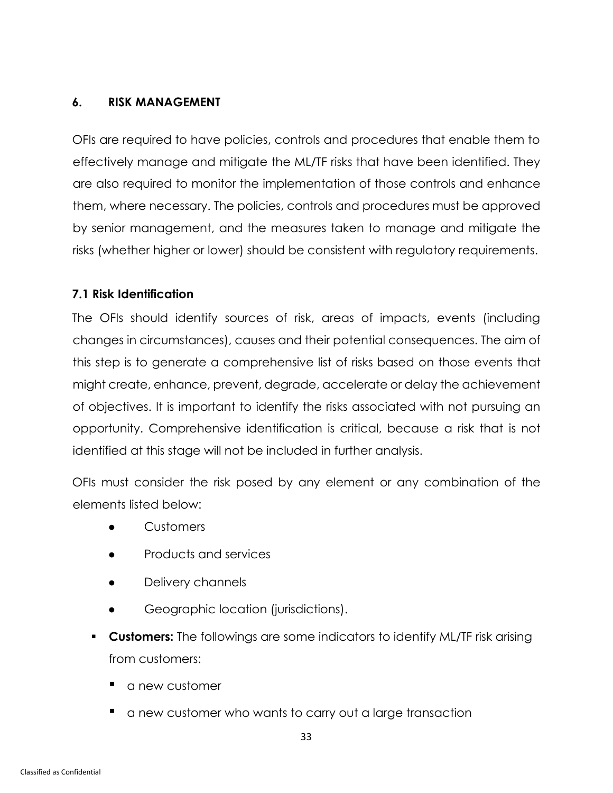#### <span id="page-37-0"></span>**6. RISK MANAGEMENT**

OFIs are required to have policies, controls and procedures that enable them to effectively manage and mitigate the ML/TF risks that have been identified. They are also required to monitor the implementation of those controls and enhance them, where necessary. The policies, controls and procedures must be approved by senior management, and the measures taken to manage and mitigate the risks (whether higher or lower) should be consistent with regulatory requirements.

### **7.1 Risk Identification**

The OFIs should identify sources of risk, areas of impacts, events (including changes in circumstances), causes and their potential consequences. The aim of this step is to generate a comprehensive list of risks based on those events that might create, enhance, prevent, degrade, accelerate or delay the achievement of objectives. It is important to identify the risks associated with not pursuing an opportunity. Comprehensive identification is critical, because a risk that is not identified at this stage will not be included in further analysis.

OFIs must consider the risk posed by any element or any combination of the elements listed below:

- Customers
- Products and services
- Delivery channels
- Geographic location (jurisdictions).
- **Customers:** The followings are some indicators to identify ML/TF risk arising from customers:
	- a new customer
	- a new customer who wants to carry out a large transaction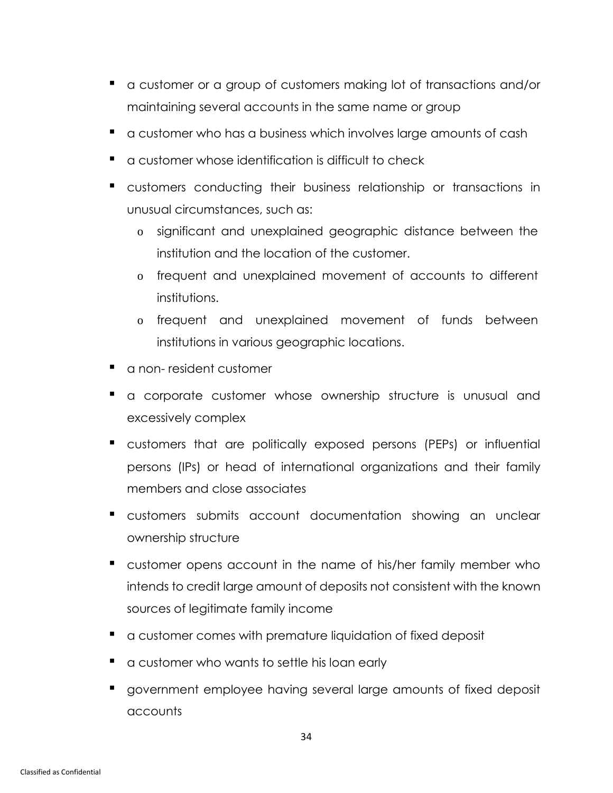- a customer or a group of customers making lot of transactions and/or maintaining several accounts in the same name or group
- a customer who has a business which involves large amounts of cash
- a customer whose identification is difficult to check
- customers conducting their business relationship or transactions in unusual circumstances, such as:
	- o significant and unexplained geographic distance between the institution and the location of the customer.
	- o frequent and unexplained movement of accounts to different institutions.
	- o frequent and unexplained movement of funds between institutions in various geographic locations.
- a non-resident customer
- a corporate customer whose ownership structure is unusual and excessively complex
- customers that are politically exposed persons (PEPs) or influential persons (IPs) or head of international organizations and their family members and close associates
- customers submits account documentation showing an unclear ownership structure
- customer opens account in the name of his/her family member who intends to credit large amount of deposits not consistent with the known sources of legitimate family income
- a customer comes with premature liquidation of fixed deposit
- a customer who wants to settle his loan early
- government employee having several large amounts of fixed deposit accounts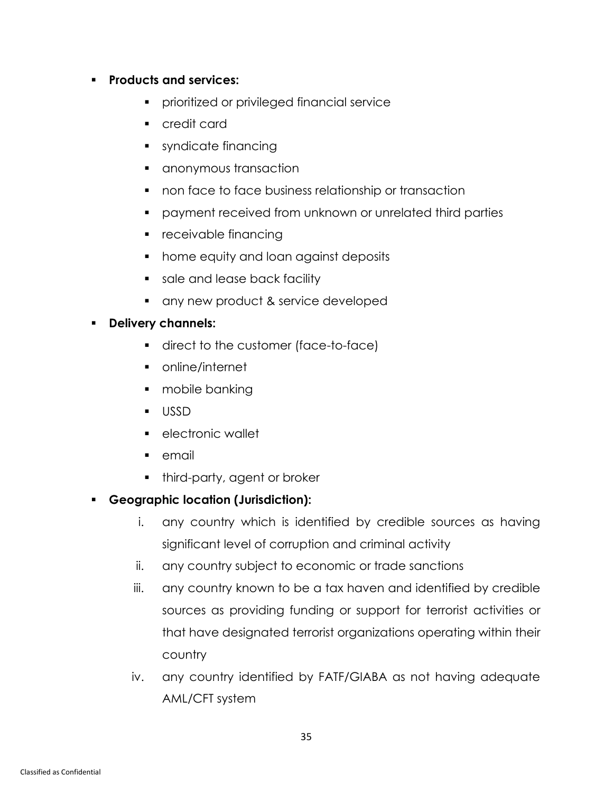#### ▪ **Products and services:**

- **•** prioritized or privileged financial service
- credit card
- syndicate financing
- anonymous transaction
- non face to face business relationship or transaction
- payment received from unknown or unrelated third parties
- receivable financing
- home equity and loan against deposits
- sale and lease back facility
- any new product & service developed

#### ▪ **Delivery channels:**

- direct to the customer (face-to-face)
- online/internet
- mobile banking
- USSD
- electronic wallet
- email
- **•** third-party, agent or broker
- **Geographic location (Jurisdiction):**
	- i. any country which is identified by credible sources as having significant level of corruption and criminal activity
	- ii. any country subject to economic or trade sanctions
	- iii. any country known to be a tax haven and identified by credible sources as providing funding or support for terrorist activities or that have designated terrorist organizations operating within their country
	- iv. any country identified by FATF/GIABA as not having adequate AML/CFT system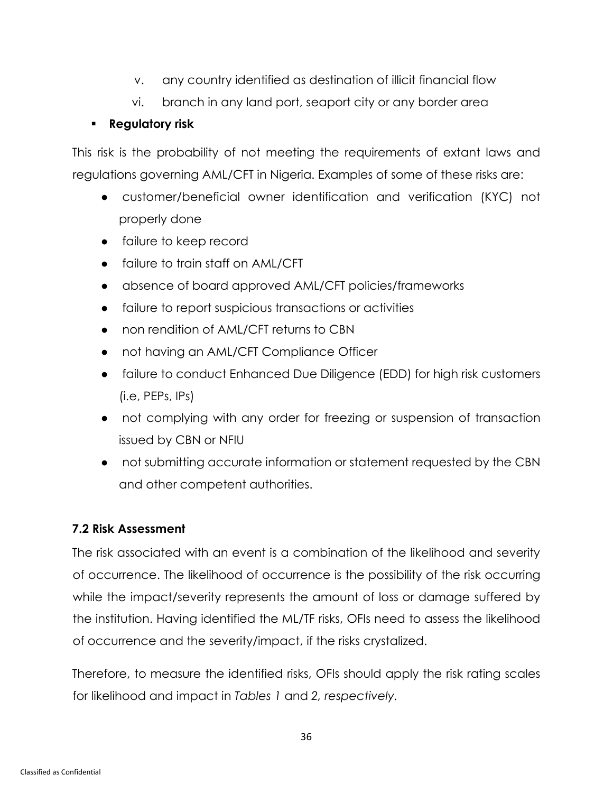- v. any country identified as destination of illicit financial flow
- vi. branch in any land port, seaport city or any border area

# ▪ **Regulatory risk**

This risk is the probability of not meeting the requirements of extant laws and regulations governing AML/CFT in Nigeria. Examples of some of these risks are:

- customer/beneficial owner identification and verification (KYC) not properly done
- failure to keep record
- failure to train staff on AML/CFT
- absence of board approved AML/CFT policies/frameworks
- failure to report suspicious transactions or activities
- non rendition of AML/CFT returns to CBN
- not having an AML/CFT Compliance Officer
- failure to conduct Enhanced Due Diligence (EDD) for high risk customers (i.e, PEPs, IPs)
- not complying with any order for freezing or suspension of transaction issued by CBN or NFIU
- not submitting accurate information or statement requested by the CBN and other competent authorities.

# **7.2 Risk Assessment**

The risk associated with an event is a combination of the likelihood and severity of occurrence. The likelihood of occurrence is the possibility of the risk occurring while the impact/severity represents the amount of loss or damage suffered by the institution. Having identified the ML/TF risks, OFIs need to assess the likelihood of occurrence and the severity/impact, if the risks crystalized.

Therefore, to measure the identified risks, OFIs should apply the risk rating scales for likelihood and impact in *Tables 1* and *2, respectively.*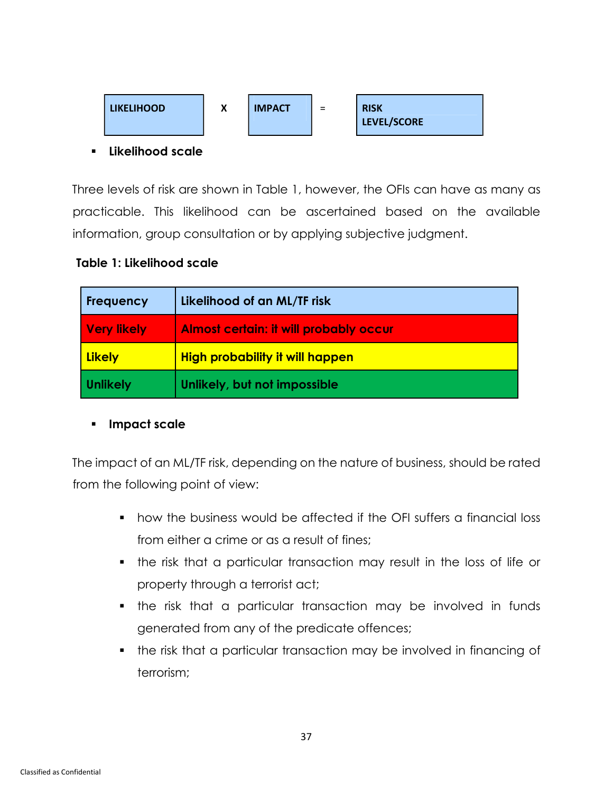

▪ **Likelihood scale** 

Three levels of risk are shown in Table 1, however, the OFIs can have as many as practicable. This likelihood can be ascertained based on the available information, group consultation or by applying subjective judgment.

#### **Table 1: Likelihood scale**

| <b>Frequency</b> | Likelihood of an ML/TF risk                   |
|------------------|-----------------------------------------------|
| Very likely      | <b>Almost certain: it will probably occur</b> |
| <b>Likely</b>    | <b>High probability it will happen</b>        |
| <b>Unlikely</b>  | Unlikely, but not impossible                  |

#### ▪ **Impact scale**

The impact of an ML/TF risk, depending on the nature of business, should be rated from the following point of view:

- how the business would be affected if the OFI suffers a financial loss from either a crime or as a result of fines;
- the risk that a particular transaction may result in the loss of life or property through a terrorist act;
- the risk that a particular transaction may be involved in funds generated from any of the predicate offences;
- the risk that a particular transaction may be involved in financing of terrorism;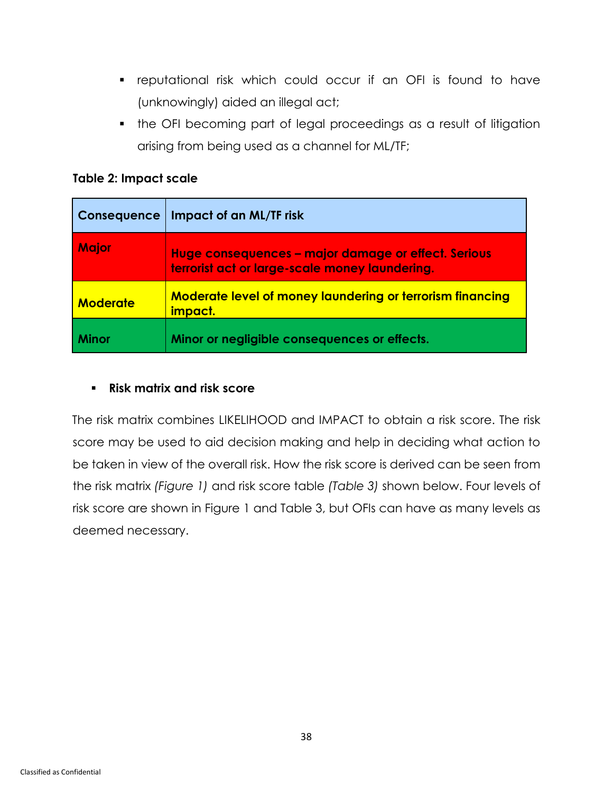- reputational risk which could occur if an OFI is found to have (unknowingly) aided an illegal act;
- the OFI becoming part of legal proceedings as a result of litigation arising from being used as a channel for ML/TF;

| Table 2: Impact scale |  |
|-----------------------|--|
|-----------------------|--|

| <b>Consequence</b> | Impact of an ML/TF risk                                                                               |
|--------------------|-------------------------------------------------------------------------------------------------------|
| <b>Major</b>       | Huge consequences - major damage or effect. Serious<br>terrorist act or large-scale money laundering. |
| <b>Moderate</b>    | <b>Moderate level of money laundering or terrorism financing</b><br>impact.                           |
| <b>Minor</b>       | Minor or negligible consequences or effects.                                                          |

#### ▪ **Risk matrix and risk score**

The risk matrix combines LIKELIHOOD and IMPACT to obtain a risk score. The risk score may be used to aid decision making and help in deciding what action to be taken in view of the overall risk. How the risk score is derived can be seen from the risk matrix *(Figure 1)* and risk score table *(Table 3)* shown below. Four levels of risk score are shown in Figure 1 and Table 3, but OFIs can have as many levels as deemed necessary.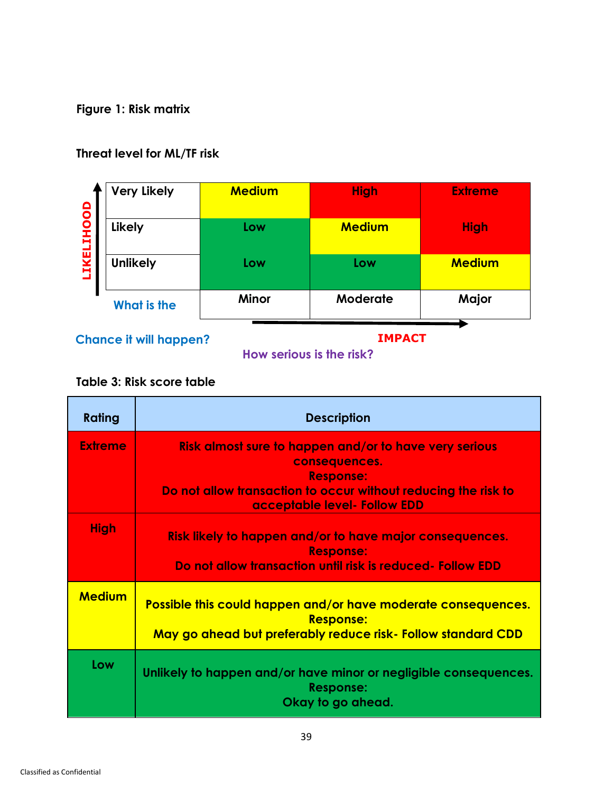**Figure 1: Risk matrix** 

# **Threat level for ML/TF risk**

| <b>LIKELIHOOD</b> | <b>Very Likely</b> | <b>Medium</b> | <b>High</b>   | <b>Extreme</b> |
|-------------------|--------------------|---------------|---------------|----------------|
|                   | <b>Likely</b>      | Low           | <b>Medium</b> | <b>High</b>    |
|                   | <b>Unlikely</b>    | Low           | Low           | <b>Medium</b>  |
|                   | What is the        | <b>Minor</b>  | Moderate      | Major          |

**Chance it will happen?** 

**IMPACT**

# **How serious is the risk?**

#### **Table 3: Risk score table**

| <b>Rating</b>  | <b>Description</b>                                                                                                                                                                            |
|----------------|-----------------------------------------------------------------------------------------------------------------------------------------------------------------------------------------------|
| <b>Extreme</b> | Risk almost sure to happen and/or to have very serious<br>consequences.<br><b>Response:</b><br>Do not allow transaction to occur without reducing the risk to<br>acceptable level- Follow EDD |
| <b>High</b>    | Risk likely to happen and/or to have major consequences.<br><b>Response:</b><br>Do not allow transaction until risk is reduced- Follow EDD                                                    |
| <b>Medium</b>  | Possible this could happen and/or have moderate consequences.<br><b>Response:</b><br>May go ahead but preferably reduce risk- Follow standard CDD                                             |
| Low            | Unlikely to happen and/or have minor or negligible consequences.<br><b>Response:</b><br>Okay to go ahead.                                                                                     |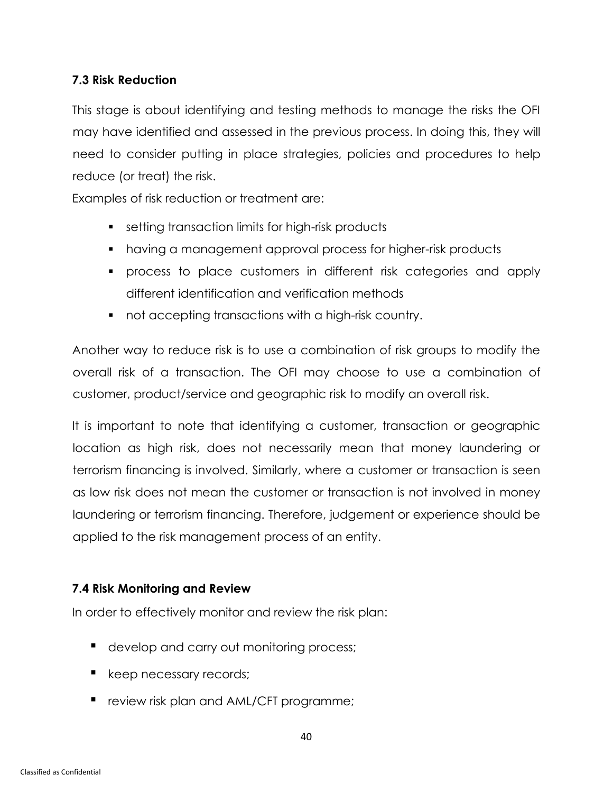#### **7.3 Risk Reduction**

This stage is about identifying and testing methods to manage the risks the OFI may have identified and assessed in the previous process. In doing this, they will need to consider putting in place strategies, policies and procedures to help reduce (or treat) the risk.

Examples of risk reduction or treatment are:

- setting transaction limits for high-risk products
- having a management approval process for higher-risk products
- process to place customers in different risk categories and apply different identification and verification methods
- not accepting transactions with a high-risk country.

Another way to reduce risk is to use a combination of risk groups to modify the overall risk of a transaction. The OFI may choose to use a combination of customer, product/service and geographic risk to modify an overall risk.

It is important to note that identifying a customer, transaction or geographic location as high risk, does not necessarily mean that money laundering or terrorism financing is involved. Similarly, where a customer or transaction is seen as low risk does not mean the customer or transaction is not involved in money laundering or terrorism financing. Therefore, judgement or experience should be applied to the risk management process of an entity.

### **7.4 Risk Monitoring and Review**

In order to effectively monitor and review the risk plan:

- develop and carry out monitoring process;
- **E** keep necessary records;
- review risk plan and AML/CFT programme;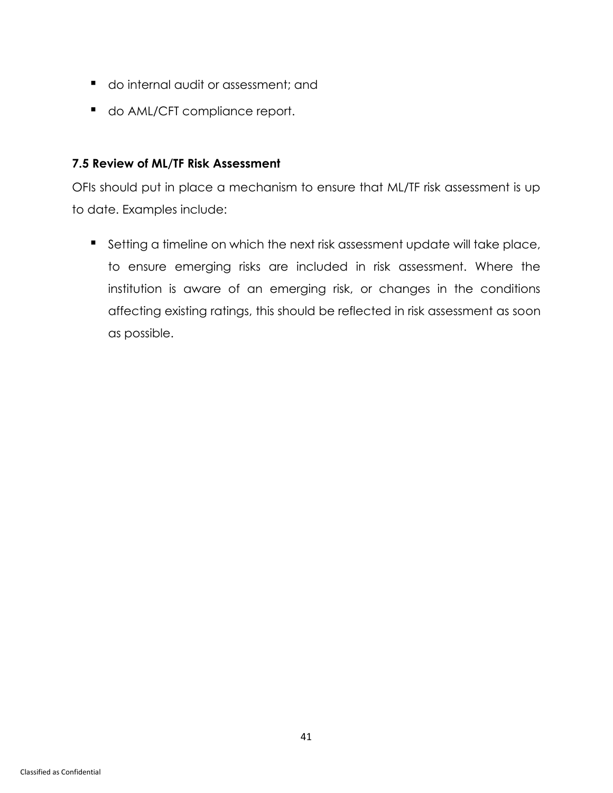- do internal audit or assessment; and
- do AML/CFT compliance report.

#### **7.5 Review of ML/TF Risk Assessment**

OFIs should put in place a mechanism to ensure that ML/TF risk assessment is up to date. Examples include:

■ Setting a timeline on which the next risk assessment update will take place, to ensure emerging risks are included in risk assessment. Where the institution is aware of an emerging risk, or changes in the conditions affecting existing ratings, this should be reflected in risk assessment as soon as possible.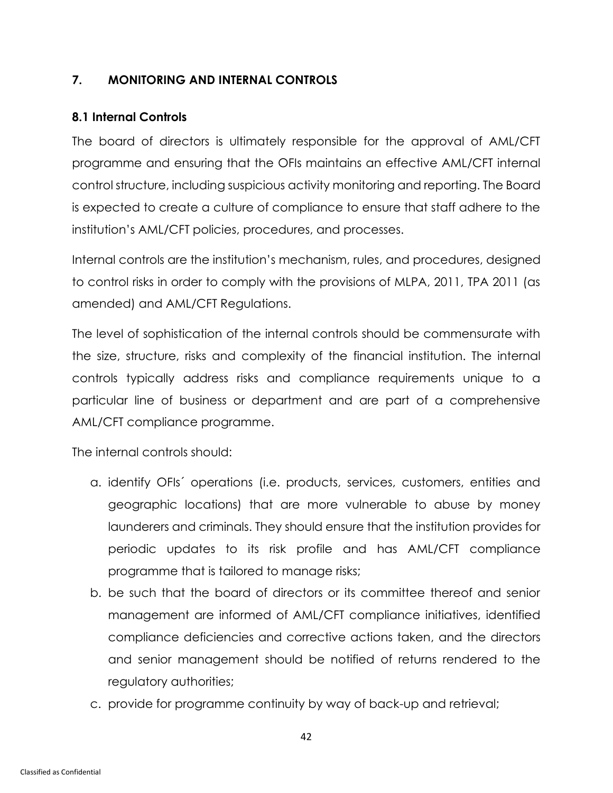#### <span id="page-46-0"></span>**7. MONITORING AND INTERNAL CONTROLS**

#### **8.1 Internal Controls**

The board of directors is ultimately responsible for the approval of AML/CFT programme and ensuring that the OFIs maintains an effective AML/CFT internal control structure, including suspicious activity monitoring and reporting. The Board is expected to create a culture of compliance to ensure that staff adhere to the institution's AML/CFT policies, procedures, and processes.

Internal controls are the institution's mechanism, rules, and procedures, designed to control risks in order to comply with the provisions of MLPA, 2011, TPA 2011 (as amended) and AML/CFT Regulations.

The level of sophistication of the internal controls should be commensurate with the size, structure, risks and complexity of the financial institution. The internal controls typically address risks and compliance requirements unique to a particular line of business or department and are part of a comprehensive AML/CFT compliance programme.

The internal controls should:

- a. identify OFIs´ operations (i.e. products, services, customers, entities and geographic locations) that are more vulnerable to abuse by money launderers and criminals. They should ensure that the institution provides for periodic updates to its risk profile and has AML/CFT compliance programme that is tailored to manage risks;
- b. be such that the board of directors or its committee thereof and senior management are informed of AML/CFT compliance initiatives, identified compliance deficiencies and corrective actions taken, and the directors and senior management should be notified of returns rendered to the regulatory authorities;
- c. provide for programme continuity by way of back-up and retrieval;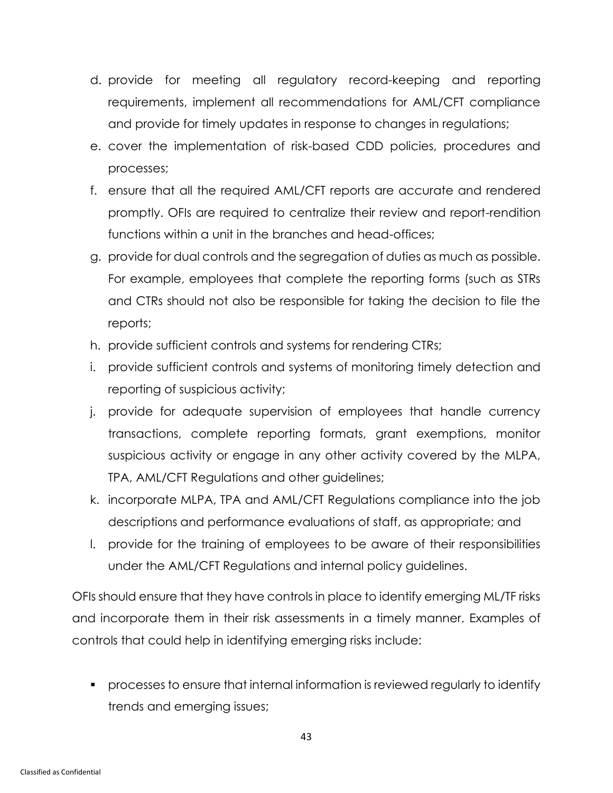- d. provide for meeting all regulatory record-keeping and reporting requirements, implement all recommendations for AML/CFT compliance and provide for timely updates in response to changes in regulations;
- e. cover the implementation of risk-based CDD policies, procedures and processes;
- f. ensure that all the required AML/CFT reports are accurate and rendered promptly. OFIs are required to centralize their review and report-rendition functions within a unit in the branches and head-offices;
- g. provide for dual controls and the segregation of duties as much as possible. For example, employees that complete the reporting forms (such as STRs and CTRs should not also be responsible for taking the decision to file the reports;
- h. provide sufficient controls and systems for rendering CTRs;
- i. provide sufficient controls and systems of monitoring timely detection and reporting of suspicious activity;
- j. provide for adequate supervision of employees that handle currency transactions, complete reporting formats, grant exemptions, monitor suspicious activity or engage in any other activity covered by the MLPA, TPA, AML/CFT Regulations and other guidelines;
- k. incorporate MLPA, TPA and AML/CFT Regulations compliance into the job descriptions and performance evaluations of staff, as appropriate; and
- l. provide for the training of employees to be aware of their responsibilities under the AML/CFT Regulations and internal policy guidelines.

OFIs should ensure that they have controls in place to identify emerging ML/TF risks and incorporate them in their risk assessments in a timely manner. Examples of controls that could help in identifying emerging risks include:

▪ processes to ensure that internal information is reviewed regularly to identify trends and emerging issues;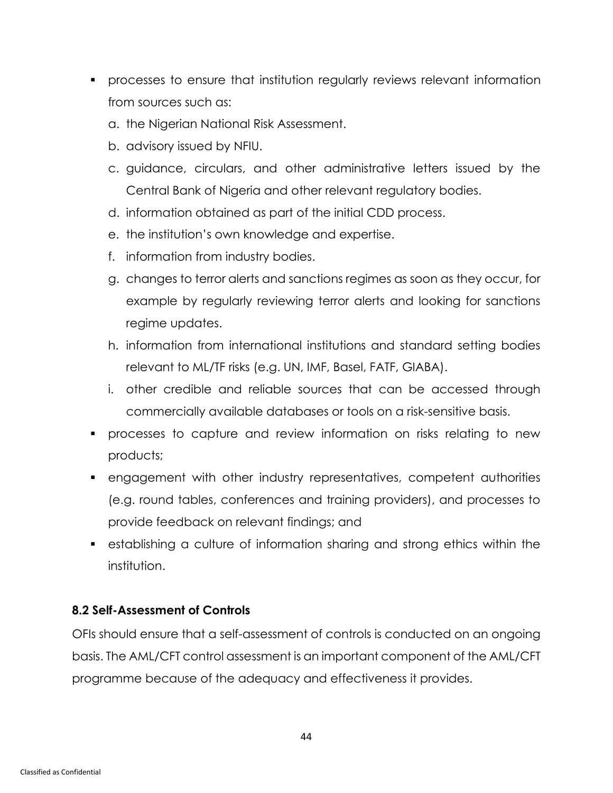- processes to ensure that institution regularly reviews relevant information from sources such as:
	- a. the Nigerian National Risk Assessment.
	- b. advisory issued by NFIU.
	- c. guidance, circulars, and other administrative letters issued by the Central Bank of Nigeria and other relevant regulatory bodies.
	- d. information obtained as part of the initial CDD process.
	- e. the institution's own knowledge and expertise.
	- f. information from industry bodies.
	- g. changes to terror alerts and sanctions regimes as soon as they occur, for example by regularly reviewing terror alerts and looking for sanctions regime updates.
	- h. information from international institutions and standard setting bodies relevant to ML/TF risks (e.g. UN, IMF, Basel, FATF, GIABA).
	- i. other credible and reliable sources that can be accessed through commercially available databases or tools on a risk-sensitive basis.
- processes to capture and review information on risks relating to new products;
- engagement with other industry representatives, competent authorities (e.g. round tables, conferences and training providers), and processes to provide feedback on relevant findings; and
- establishing a culture of information sharing and strong ethics within the institution.

### **8.2 Self-Assessment of Controls**

OFIs should ensure that a self-assessment of controls is conducted on an ongoing basis. The AML/CFT control assessment is an important component of the AML/CFT programme because of the adequacy and effectiveness it provides.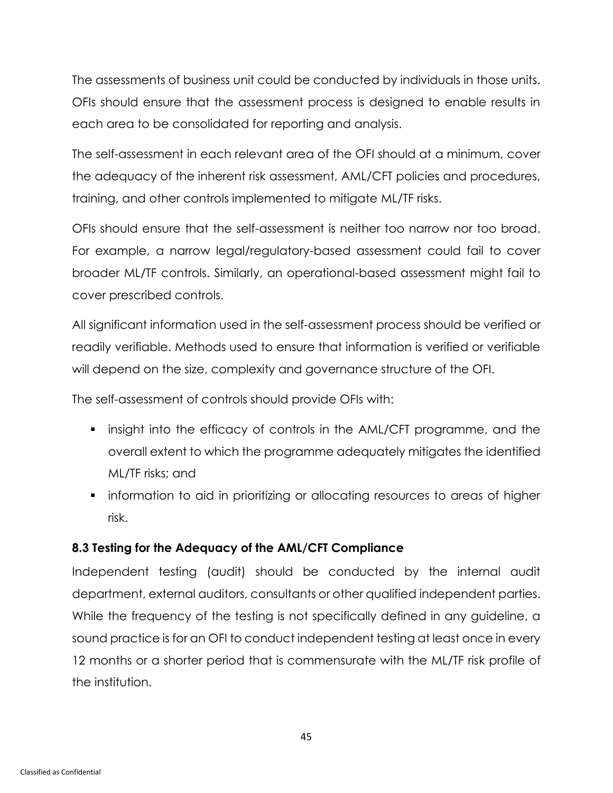The assessments of business unit could be conducted by individuals in those units. OFIs should ensure that the assessment process is designed to enable results in each area to be consolidated for reporting and analysis.

The self-assessment in each relevant area of the OFI should at a minimum, cover the adequacy of the inherent risk assessment, AML/CFT policies and procedures, training, and other controls implemented to mitigate ML/TF risks.

OFIs should ensure that the self-assessment is neither too narrow nor too broad. For example, a narrow legal/regulatory-based assessment could fail to cover broader ML/TF controls. Similarly, an operational-based assessment might fail to cover prescribed controls.

All significant information used in the self-assessment process should be verified or readily verifiable. Methods used to ensure that information is verified or verifiable will depend on the size, complexity and governance structure of the OFI.

The self-assessment of controls should provide OFIs with:

- insight into the efficacy of controls in the AML/CFT programme, and the overall extent to which the programme adequately mitigates the identified ML/TF risks; and
- **•** information to aid in prioritizing or allocating resources to areas of higher risk.

# **8.3 Testing for the Adequacy of the AML/CFT Compliance**

Independent testing (audit) should be conducted by the internal audit department, external auditors, consultants or other qualified independent parties. While the frequency of the testing is not specifically defined in any guideline, a sound practice is for an OFI to conduct independent testing at least once in every 12 months or a shorter period that is commensurate with the ML/TF risk profile of the institution.

45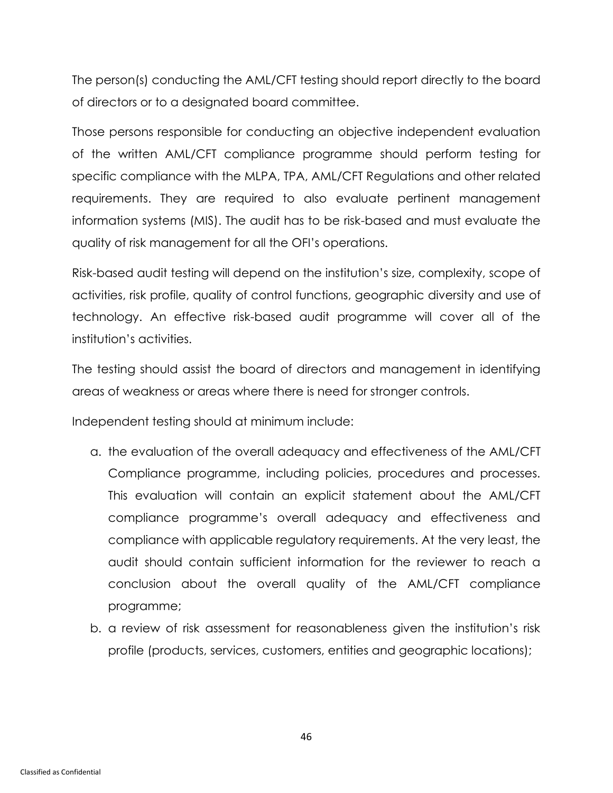The person(s) conducting the AML/CFT testing should report directly to the board of directors or to a designated board committee.

Those persons responsible for conducting an objective independent evaluation of the written AML/CFT compliance programme should perform testing for specific compliance with the MLPA, TPA, AML/CFT Regulations and other related requirements. They are required to also evaluate pertinent management information systems (MIS). The audit has to be risk-based and must evaluate the quality of risk management for all the OFI's operations.

Risk-based audit testing will depend on the institution's size, complexity, scope of activities, risk profile, quality of control functions, geographic diversity and use of technology. An effective risk-based audit programme will cover all of the institution's activities.

The testing should assist the board of directors and management in identifying areas of weakness or areas where there is need for stronger controls.

Independent testing should at minimum include:

- a. the evaluation of the overall adequacy and effectiveness of the AML/CFT Compliance programme, including policies, procedures and processes. This evaluation will contain an explicit statement about the AML/CFT compliance programme's overall adequacy and effectiveness and compliance with applicable regulatory requirements. At the very least, the audit should contain sufficient information for the reviewer to reach a conclusion about the overall quality of the AML/CFT compliance programme;
- b. a review of risk assessment for reasonableness given the institution's risk profile (products, services, customers, entities and geographic locations);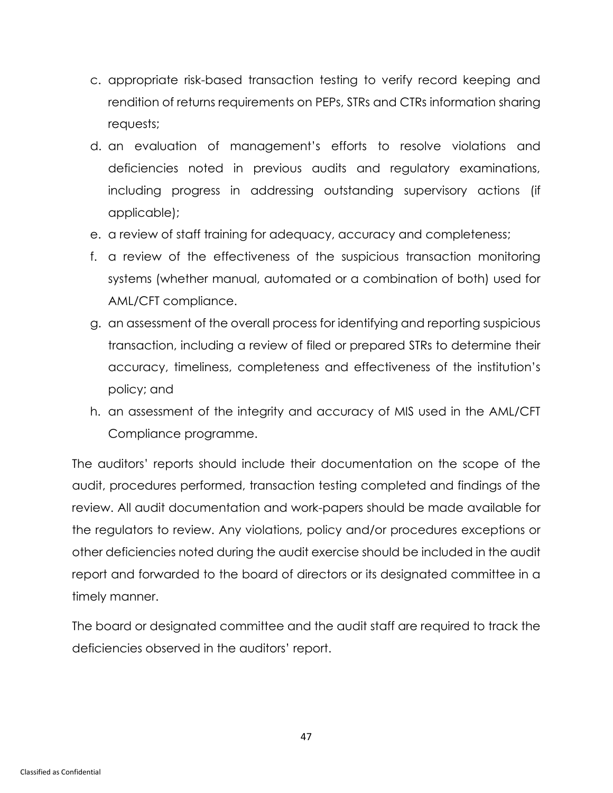- c. appropriate risk-based transaction testing to verify record keeping and rendition of returns requirements on PEPs, STRs and CTRs information sharing requests;
- d. an evaluation of management's efforts to resolve violations and deficiencies noted in previous audits and regulatory examinations, including progress in addressing outstanding supervisory actions (if applicable);
- e. a review of staff training for adequacy, accuracy and completeness;
- f. a review of the effectiveness of the suspicious transaction monitoring systems (whether manual, automated or a combination of both) used for AML/CFT compliance.
- g. an assessment of the overall process for identifying and reporting suspicious transaction, including a review of filed or prepared STRs to determine their accuracy, timeliness, completeness and effectiveness of the institution's policy; and
- h. an assessment of the integrity and accuracy of MIS used in the AML/CFT Compliance programme.

The auditors' reports should include their documentation on the scope of the audit, procedures performed, transaction testing completed and findings of the review. All audit documentation and work-papers should be made available for the regulators to review. Any violations, policy and/or procedures exceptions or other deficiencies noted during the audit exercise should be included in the audit report and forwarded to the board of directors or its designated committee in a timely manner.

The board or designated committee and the audit staff are required to track the deficiencies observed in the auditors' report.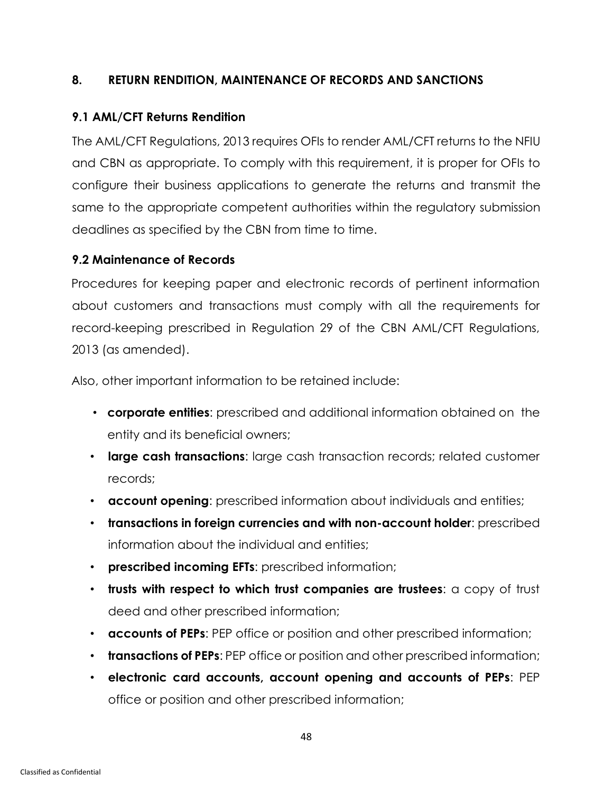#### <span id="page-52-0"></span>**8. RETURN RENDITION, MAINTENANCE OF RECORDS AND SANCTIONS**

### **9.1 AML/CFT Returns Rendition**

The AML/CFT Regulations, 2013 requires OFIs to render AML/CFT returns to the NFIU and CBN as appropriate. To comply with this requirement, it is proper for OFIs to configure their business applications to generate the returns and transmit the same to the appropriate competent authorities within the regulatory submission deadlines as specified by the CBN from time to time.

#### **9.2 Maintenance of Records**

Procedures for keeping paper and electronic records of pertinent information about customers and transactions must comply with all the requirements for record-keeping prescribed in Regulation 29 of the CBN AML/CFT Regulations, 2013 (as amended).

Also, other important information to be retained include:

- **corporate entities**: prescribed and additional information obtained on the entity and its beneficial owners;
- **large cash transactions**: large cash transaction records; related customer records;
- **account opening**: prescribed information about individuals and entities;
- **transactions in foreign currencies and with non-account holder**: prescribed information about the individual and entities;
- **prescribed incoming EFTs**: prescribed information;
- **trusts with respect to which trust companies are trustees**: a copy of trust deed and other prescribed information;
- **accounts of PEPs**: PEP office or position and other prescribed information;
- **transactions of PEPs**: PEP office or position and other prescribed information;
- **electronic card accounts, account opening and accounts of PEPs**: PEP office or position and other prescribed information;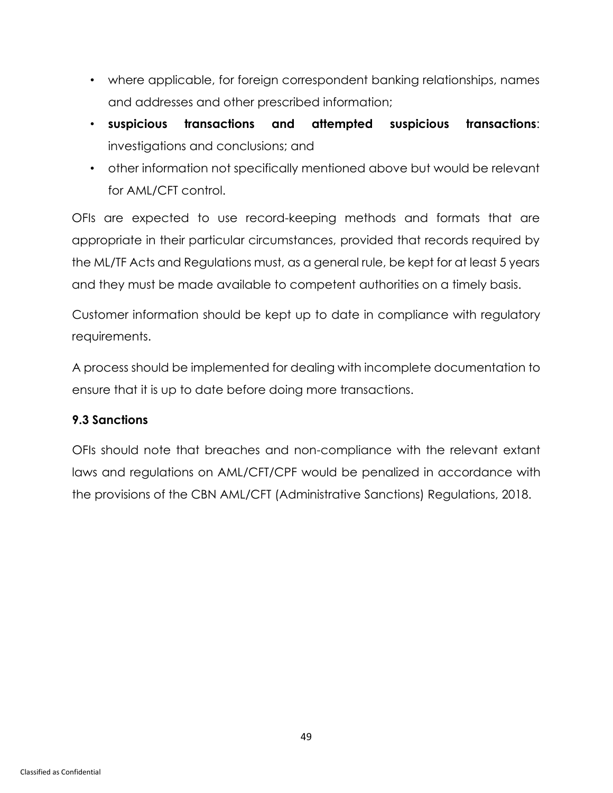- where applicable, for foreign correspondent banking relationships, names and addresses and other prescribed information;
- **suspicious transactions and attempted suspicious transactions**: investigations and conclusions; and
- other information not specifically mentioned above but would be relevant for AML/CFT control.

OFIs are expected to use record-keeping methods and formats that are appropriate in their particular circumstances, provided that records required by the ML/TF Acts and Regulations must, as a general rule, be kept for at least 5 years and they must be made available to competent authorities on a timely basis.

Customer information should be kept up to date in compliance with regulatory requirements.

A process should be implemented for dealing with incomplete documentation to ensure that it is up to date before doing more transactions.

### **9.3 Sanctions**

OFIs should note that breaches and non-compliance with the relevant extant laws and regulations on AML/CFT/CPF would be penalized in accordance with the provisions of the CBN AML/CFT (Administrative Sanctions) Regulations, 2018.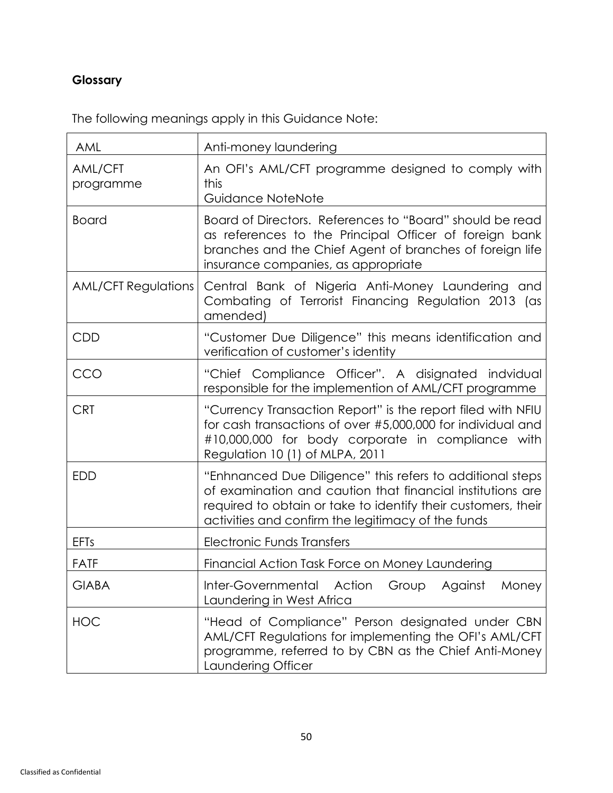# <span id="page-54-0"></span>**Glossary**

The following meanings apply in this Guidance Note:

| AML                        | Anti-money laundering                                                                                                                                                                                                                          |
|----------------------------|------------------------------------------------------------------------------------------------------------------------------------------------------------------------------------------------------------------------------------------------|
| AML/CFT<br>programme       | An OFI's AML/CFT programme designed to comply with<br>this<br>Guidance NoteNote                                                                                                                                                                |
| <b>Board</b>               | Board of Directors. References to "Board" should be read<br>as references to the Principal Officer of foreign bank<br>branches and the Chief Agent of branches of foreign life<br>insurance companies, as appropriate                          |
| <b>AML/CFT Regulations</b> | Central Bank of Nigeria Anti-Money Laundering and<br>Combating of Terrorist Financing Regulation 2013 (as<br>amended)                                                                                                                          |
| CDD                        | "Customer Due Diligence" this means identification and<br>verification of customer's identity                                                                                                                                                  |
| CCO                        | "Chief Compliance Officer". A disignated indvidual<br>responsible for the implemention of AML/CFT programme                                                                                                                                    |
| <b>CRT</b>                 | "Currency Transaction Report" is the report filed with NFIU<br>for cash transactions of over #5,000,000 for individual and<br>#10,000,000 for body corporate in compliance with<br>Regulation 10 (1) of MLPA, 2011                             |
| <b>EDD</b>                 | "Enhnanced Due Diligence" this refers to additional steps<br>of examination and caution that financial institutions are<br>required to obtain or take to identify their customers, their<br>activities and confirm the legitimacy of the funds |
| <b>EFTs</b>                | <b>Electronic Funds Transfers</b>                                                                                                                                                                                                              |
| <b>FATF</b>                | Financial Action Task Force on Money Laundering                                                                                                                                                                                                |
| <b>GIABA</b>               | Inter-Governmental Action Group Against Money<br>Laundering in West Africa                                                                                                                                                                     |
| <b>HOC</b>                 | "Head of Compliance" Person designated under CBN<br>AML/CFT Regulations for implementing the OFI's AML/CFT<br>programme, referred to by CBN as the Chief Anti-Money<br>Laundering Officer                                                      |